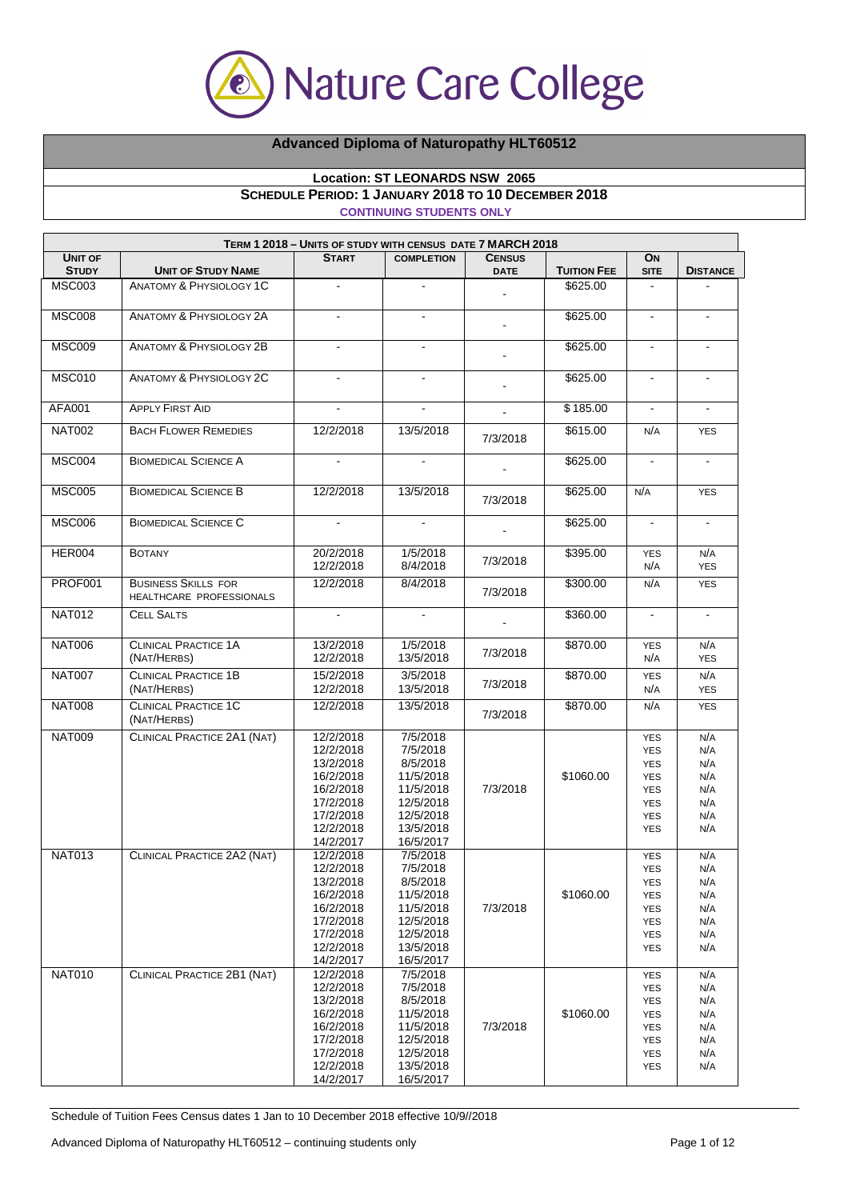

## **Advanced Diploma of Naturopathy HLT60512**

## **Location: ST LEONARDS NSW 2065 SCHEDULE PERIOD: 1 JANUARY 2018 TO 10 DECEMBER 2018 CONTINUING STUDENTS ONLY**

| TERM 1 2018 - UNITS OF STUDY WITH CENSUS DATE 7 MARCH 2018 |                                                        |                                                                                                                   |                                                                                                                |               |                    |                                                                                                              |                                                      |
|------------------------------------------------------------|--------------------------------------------------------|-------------------------------------------------------------------------------------------------------------------|----------------------------------------------------------------------------------------------------------------|---------------|--------------------|--------------------------------------------------------------------------------------------------------------|------------------------------------------------------|
| <b>UNIT OF</b>                                             |                                                        | <b>START</b>                                                                                                      | <b>COMPLETION</b>                                                                                              | <b>CENSUS</b> |                    | ON                                                                                                           |                                                      |
| <b>STUDY</b>                                               | <b>UNIT OF STUDY NAME</b>                              |                                                                                                                   |                                                                                                                | <b>DATE</b>   | <b>TUITION FEE</b> | <b>SITE</b>                                                                                                  | <b>DISTANCE</b>                                      |
| <b>MSC003</b>                                              | ANATOMY & PHYSIOLOGY 1C                                |                                                                                                                   |                                                                                                                |               | \$625.00           |                                                                                                              |                                                      |
| <b>MSC008</b>                                              | <b>ANATOMY &amp; PHYSIOLOGY 2A</b>                     | $\mathbf{r}$                                                                                                      | $\mathbf{r}$                                                                                                   |               | \$625.00           | $\omega$                                                                                                     | $\mathbf{r}$                                         |
| <b>MSC009</b>                                              | <b>ANATOMY &amp; PHYSIOLOGY 2B</b>                     | $\blacksquare$                                                                                                    | $\mathbf{r}$                                                                                                   |               | \$625.00           | $\blacksquare$                                                                                               | ۰.                                                   |
| <b>MSC010</b>                                              | <b>ANATOMY &amp; PHYSIOLOGY 2C</b>                     |                                                                                                                   | $\blacksquare$                                                                                                 |               | \$625.00           | $\blacksquare$                                                                                               | ÷                                                    |
| <b>AFA001</b>                                              | <b>APPLY FIRST AID</b>                                 | $\blacksquare$                                                                                                    | $\blacksquare$                                                                                                 |               | \$185.00           | $\blacksquare$                                                                                               | $\mathbf{r}$                                         |
| <b>NAT002</b>                                              | <b>BACH FLOWER REMEDIES</b>                            | 12/2/2018                                                                                                         | 13/5/2018                                                                                                      | 7/3/2018      | \$615.00           | N/A                                                                                                          | <b>YES</b>                                           |
| <b>MSC004</b>                                              | <b>BIOMEDICAL SCIENCE A</b>                            |                                                                                                                   |                                                                                                                |               | \$625.00           | $\blacksquare$                                                                                               | $\blacksquare$                                       |
| <b>MSC005</b>                                              | <b>BIOMEDICAL SCIENCE B</b>                            | 12/2/2018                                                                                                         | 13/5/2018                                                                                                      | 7/3/2018      | \$625.00           | N/A                                                                                                          | <b>YES</b>                                           |
| <b>MSC006</b>                                              | <b>BIOMEDICAL SCIENCE C</b>                            | $\mathbf{r}$                                                                                                      | $\mathbf{r}$                                                                                                   |               | \$625.00           | $\blacksquare$                                                                                               | $\blacksquare$                                       |
| <b>HER004</b>                                              | <b>BOTANY</b>                                          | 20/2/2018<br>12/2/2018                                                                                            | 1/5/2018<br>8/4/2018                                                                                           | 7/3/2018      | \$395.00           | <b>YES</b><br>N/A                                                                                            | N/A<br><b>YES</b>                                    |
| PROF001                                                    | <b>BUSINESS SKILLS FOR</b><br>HEALTHCARE PROFESSIONALS | 12/2/2018                                                                                                         | 8/4/2018                                                                                                       | 7/3/2018      | \$300.00           | N/A                                                                                                          | <b>YES</b>                                           |
| <b>NAT012</b>                                              | <b>CELL SALTS</b>                                      | $\blacksquare$                                                                                                    | $\blacksquare$                                                                                                 |               | \$360.00           | $\blacksquare$                                                                                               | $\blacksquare$                                       |
| <b>NAT006</b>                                              | <b>CLINICAL PRACTICE 1A</b><br>(NAT/HERBS)             | 13/2/2018<br>12/2/2018                                                                                            | 1/5/2018<br>13/5/2018                                                                                          | 7/3/2018      | \$870.00           | <b>YES</b><br>N/A                                                                                            | N/A<br><b>YES</b>                                    |
| <b>NAT007</b>                                              | <b>CLINICAL PRACTICE 1B</b><br>(NAT/HERBS)             | 15/2/2018<br>12/2/2018                                                                                            | 3/5/2018<br>13/5/2018                                                                                          | 7/3/2018      | \$870.00           | <b>YES</b><br>N/A                                                                                            | N/A<br><b>YES</b>                                    |
| <b>NAT008</b>                                              | <b>CLINICAL PRACTICE 1C</b><br>(NAT/HERBS)             | 12/2/2018                                                                                                         | 13/5/2018                                                                                                      | 7/3/2018      | \$870.00           | N/A                                                                                                          | <b>YES</b>                                           |
| <b>NAT009</b>                                              | CLINICAL PRACTICE 2A1 (NAT)                            | 12/2/2018<br>12/2/2018<br>13/2/2018<br>16/2/2018<br>16/2/2018<br>17/2/2018<br>17/2/2018<br>12/2/2018<br>14/2/2017 | 7/5/2018<br>7/5/2018<br>8/5/2018<br>11/5/2018<br>11/5/2018<br>12/5/2018<br>12/5/2018<br>13/5/2018<br>16/5/2017 | 7/3/2018      | \$1060.00          | <b>YES</b><br><b>YES</b><br><b>YES</b><br><b>YES</b><br><b>YES</b><br><b>YES</b><br><b>YES</b><br><b>YES</b> | N/A<br>N/A<br>N/A<br>N/A<br>N/A<br>N/A<br>N/A<br>N/A |
| <b>NAT013</b>                                              | CLINICAL PRACTICE 2A2 (NAT)                            | 12/2/2018<br>12/2/2018<br>13/2/2018<br>16/2/2018<br>16/2/2018<br>17/2/2018<br>17/2/2018<br>12/2/2018<br>14/2/2017 | 7/5/2018<br>7/5/2018<br>8/5/2018<br>11/5/2018<br>11/5/2018<br>12/5/2018<br>12/5/2018<br>13/5/2018<br>16/5/2017 | 7/3/2018      | \$1060.00          | <b>YES</b><br><b>YES</b><br><b>YES</b><br><b>YES</b><br><b>YES</b><br><b>YES</b><br><b>YES</b><br><b>YES</b> | N/A<br>N/A<br>N/A<br>N/A<br>N/A<br>N/A<br>N/A<br>N/A |
| <b>NAT010</b>                                              | CLINICAL PRACTICE 2B1 (NAT)                            | 12/2/2018<br>12/2/2018<br>13/2/2018<br>16/2/2018<br>16/2/2018<br>17/2/2018<br>17/2/2018<br>12/2/2018<br>14/2/2017 | 7/5/2018<br>7/5/2018<br>8/5/2018<br>11/5/2018<br>11/5/2018<br>12/5/2018<br>12/5/2018<br>13/5/2018<br>16/5/2017 | 7/3/2018      | \$1060.00          | <b>YES</b><br><b>YES</b><br><b>YES</b><br><b>YES</b><br><b>YES</b><br>YES<br><b>YES</b><br><b>YES</b>        | N/A<br>N/A<br>N/A<br>N/A<br>N/A<br>N/A<br>N/A<br>N/A |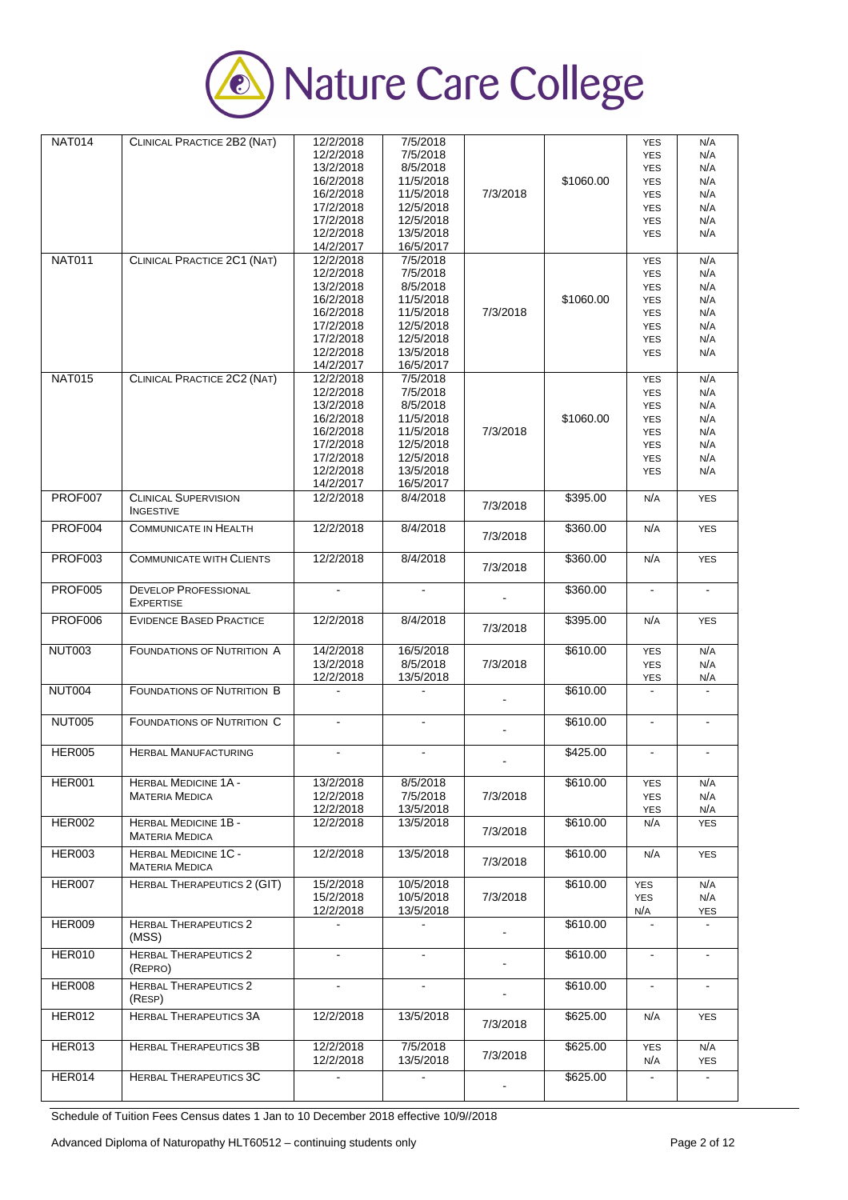

| <b>NAT014</b>  | CLINICAL PRACTICE 2B2 (NAT)                     | 12/2/2018      | 7/5/2018            |                |           | <b>YES</b>     | N/A                   |
|----------------|-------------------------------------------------|----------------|---------------------|----------------|-----------|----------------|-----------------------|
|                |                                                 | 12/2/2018      | 7/5/2018            |                |           | <b>YES</b>     | N/A                   |
|                |                                                 | 13/2/2018      | 8/5/2018            |                |           | <b>YES</b>     | N/A                   |
|                |                                                 | 16/2/2018      | 11/5/2018           |                | \$1060.00 |                | N/A                   |
|                |                                                 |                |                     |                |           | <b>YES</b>     |                       |
|                |                                                 | 16/2/2018      | 11/5/2018           | 7/3/2018       |           | <b>YES</b>     | N/A                   |
|                |                                                 | 17/2/2018      | 12/5/2018           |                |           | <b>YES</b>     | N/A                   |
|                |                                                 | 17/2/2018      | 12/5/2018           |                |           | <b>YES</b>     | N/A                   |
|                |                                                 | 12/2/2018      | 13/5/2018           |                |           | <b>YES</b>     | N/A                   |
|                |                                                 | 14/2/2017      | 16/5/2017           |                |           |                |                       |
| <b>NAT011</b>  | CLINICAL PRACTICE 2C1 (NAT)                     | 12/2/2018      | 7/5/2018            |                |           | <b>YES</b>     | N/A                   |
|                |                                                 | 12/2/2018      | 7/5/2018            |                |           | <b>YES</b>     | N/A                   |
|                |                                                 | 13/2/2018      | 8/5/2018            |                |           | <b>YES</b>     | N/A                   |
|                |                                                 | 16/2/2018      | 11/5/2018           |                | \$1060.00 | <b>YES</b>     | N/A                   |
|                |                                                 | 16/2/2018      | 11/5/2018           | 7/3/2018       |           | <b>YES</b>     | N/A                   |
|                |                                                 | 17/2/2018      | 12/5/2018           |                |           | <b>YES</b>     | N/A                   |
|                |                                                 | 17/2/2018      | 12/5/2018           |                |           |                | N/A                   |
|                |                                                 |                |                     |                |           | <b>YES</b>     |                       |
|                |                                                 | 12/2/2018      | 13/5/2018           |                |           | <b>YES</b>     | N/A                   |
|                |                                                 | 14/2/2017      | 16/5/2017           |                |           |                |                       |
| <b>NAT015</b>  | CLINICAL PRACTICE 2C2 (NAT)                     | 12/2/2018      | 7/5/2018            |                |           | <b>YES</b>     | N/A                   |
|                |                                                 | 12/2/2018      | 7/5/2018            |                |           | <b>YES</b>     | N/A                   |
|                |                                                 | 13/2/2018      | 8/5/2018            |                |           | <b>YES</b>     | N/A                   |
|                |                                                 | 16/2/2018      | 11/5/2018           |                | \$1060.00 | <b>YES</b>     | N/A                   |
|                |                                                 | 16/2/2018      | 11/5/2018           | 7/3/2018       |           | <b>YES</b>     | N/A                   |
|                |                                                 | 17/2/2018      | 12/5/2018           |                |           | <b>YES</b>     | N/A                   |
|                |                                                 | 17/2/2018      | 12/5/2018           |                |           | <b>YES</b>     | N/A                   |
|                |                                                 |                |                     |                |           |                |                       |
|                |                                                 | 12/2/2018      | 13/5/2018           |                |           | <b>YES</b>     | N/A                   |
|                |                                                 | 14/2/2017      | 16/5/2017           |                |           |                |                       |
| PROF007        | <b>CLINICAL SUPERVISION</b><br><b>INGESTIVE</b> | 12/2/2018      | 8/4/2018            | 7/3/2018       | \$395.00  | N/A            | <b>YES</b>            |
| PROF004        | <b>COMMUNICATE IN HEALTH</b>                    | 12/2/2018      | 8/4/2018            |                | \$360.00  | N/A            | <b>YES</b>            |
|                |                                                 |                |                     | 7/3/2018       |           |                |                       |
| PROF003        | <b>COMMUNICATE WITH CLIENTS</b>                 | 12/2/2018      | 8/4/2018            |                | \$360.00  | N/A            | <b>YES</b>            |
|                |                                                 |                |                     | 7/3/2018       |           |                |                       |
|                |                                                 |                |                     |                |           |                |                       |
| <b>PROF005</b> | <b>DEVELOP PROFESSIONAL</b>                     | $\mathbf{r}$   | $\bar{\phantom{a}}$ |                | \$360.00  | $\blacksquare$ | $\blacksquare$        |
|                | <b>EXPERTISE</b>                                |                |                     |                |           |                |                       |
|                |                                                 |                |                     |                |           |                |                       |
| PROF006        | <b>EVIDENCE BASED PRACTICE</b>                  | 12/2/2018      | 8/4/2018            | 7/3/2018       | \$395.00  | N/A            | <b>YES</b>            |
|                |                                                 |                |                     |                |           |                |                       |
| <b>NUT003</b>  | <b>FOUNDATIONS OF NUTRITION A</b>               | 14/2/2018      | 16/5/2018           |                | \$610.00  | <b>YES</b>     | N/A                   |
|                |                                                 | 13/2/2018      | 8/5/2018            | 7/3/2018       |           | <b>YES</b>     | N/A                   |
|                |                                                 | 12/2/2018      | 13/5/2018           |                |           | <b>YES</b>     | N/A                   |
|                |                                                 |                |                     |                |           | $\blacksquare$ | $\tilde{\phantom{a}}$ |
| <b>NUT004</b>  | <b>FOUNDATIONS OF NUTRITION B</b>               |                |                     |                | \$610.00  |                |                       |
|                |                                                 |                |                     |                |           |                |                       |
| <b>NUT005</b>  | <b>FOUNDATIONS OF NUTRITION C</b>               |                |                     |                | \$610.00  | ä,             | $\blacksquare$        |
|                |                                                 |                |                     |                |           |                |                       |
|                |                                                 |                |                     |                |           |                |                       |
| <b>HER005</b>  | <b>HERBAL MANUFACTURING</b>                     | $\blacksquare$ | $\blacksquare$      |                | \$425.00  | $\blacksquare$ | $\blacksquare$        |
|                |                                                 |                |                     |                |           |                |                       |
| <b>HER001</b>  | <b>HERBAL MEDICINE 1A -</b>                     | 13/2/2018      | 8/5/2018            |                | \$610.00  | <b>YES</b>     | N/A                   |
|                | <b>MATERIA MEDICA</b>                           | 12/2/2018      | 7/5/2018            | 7/3/2018       |           | YES            | N/A                   |
|                |                                                 | 12/2/2018      | 13/5/2018           |                |           | YES            | N/A                   |
|                |                                                 |                |                     |                |           |                |                       |
| <b>HER002</b>  | <b>HERBAL MEDICINE 1B -</b>                     | 12/2/2018      | 13/5/2018           | 7/3/2018       | \$610.00  | N/A            | <b>YES</b>            |
|                | <b>MATERIA MEDICA</b>                           |                |                     |                |           |                |                       |
| <b>HER003</b>  | <b>HERBAL MEDICINE 1C -</b>                     | 12/2/2018      | 13/5/2018           |                | \$610.00  | N/A            | <b>YES</b>            |
|                | <b>MATERIA MEDICA</b>                           |                |                     | 7/3/2018       |           |                |                       |
|                |                                                 |                |                     |                |           |                |                       |
| HER007         | <b>HERBAL THERAPEUTICS 2 (GIT)</b>              | 15/2/2018      | 10/5/2018           |                | \$610.00  | <b>YES</b>     | N/A                   |
|                |                                                 | 15/2/2018      | 10/5/2018           | 7/3/2018       |           | <b>YES</b>     | N/A                   |
|                |                                                 | 12/2/2018      | 13/5/2018           |                |           | N/A            | YES                   |
| <b>HER009</b>  | <b>HERBAL THERAPEUTICS 2</b>                    |                |                     |                | \$610.00  |                |                       |
|                | (MSS)                                           |                |                     |                |           |                |                       |
|                |                                                 |                |                     |                |           |                |                       |
| <b>HER010</b>  | <b>HERBAL THERAPEUTICS 2</b>                    |                |                     |                | \$610.00  | $\blacksquare$ |                       |
|                | (REPRO)                                         |                |                     |                |           |                |                       |
| <b>HER008</b>  | <b>HERBAL THERAPEUTICS 2</b>                    |                |                     |                | \$610.00  |                |                       |
|                | (RESP)                                          |                |                     |                |           |                |                       |
|                |                                                 |                |                     |                |           |                |                       |
| <b>HER012</b>  | <b>HERBAL THERAPEUTICS 3A</b>                   | 12/2/2018      | 13/5/2018           | 7/3/2018       | \$625.00  | N/A            | <b>YES</b>            |
|                |                                                 |                |                     |                |           |                |                       |
| HER013         | <b>HERBAL THERAPEUTICS 3B</b>                   | 12/2/2018      | 7/5/2018            |                | \$625.00  | <b>YES</b>     | N/A                   |
|                |                                                 | 12/2/2018      | 13/5/2018           | 7/3/2018       |           | N/A            | <b>YES</b>            |
|                |                                                 |                |                     |                |           |                |                       |
| HER014         | <b>HERBAL THERAPEUTICS 3C</b>                   |                |                     | $\blacksquare$ | \$625.00  | $\blacksquare$ |                       |
|                |                                                 |                |                     |                |           |                |                       |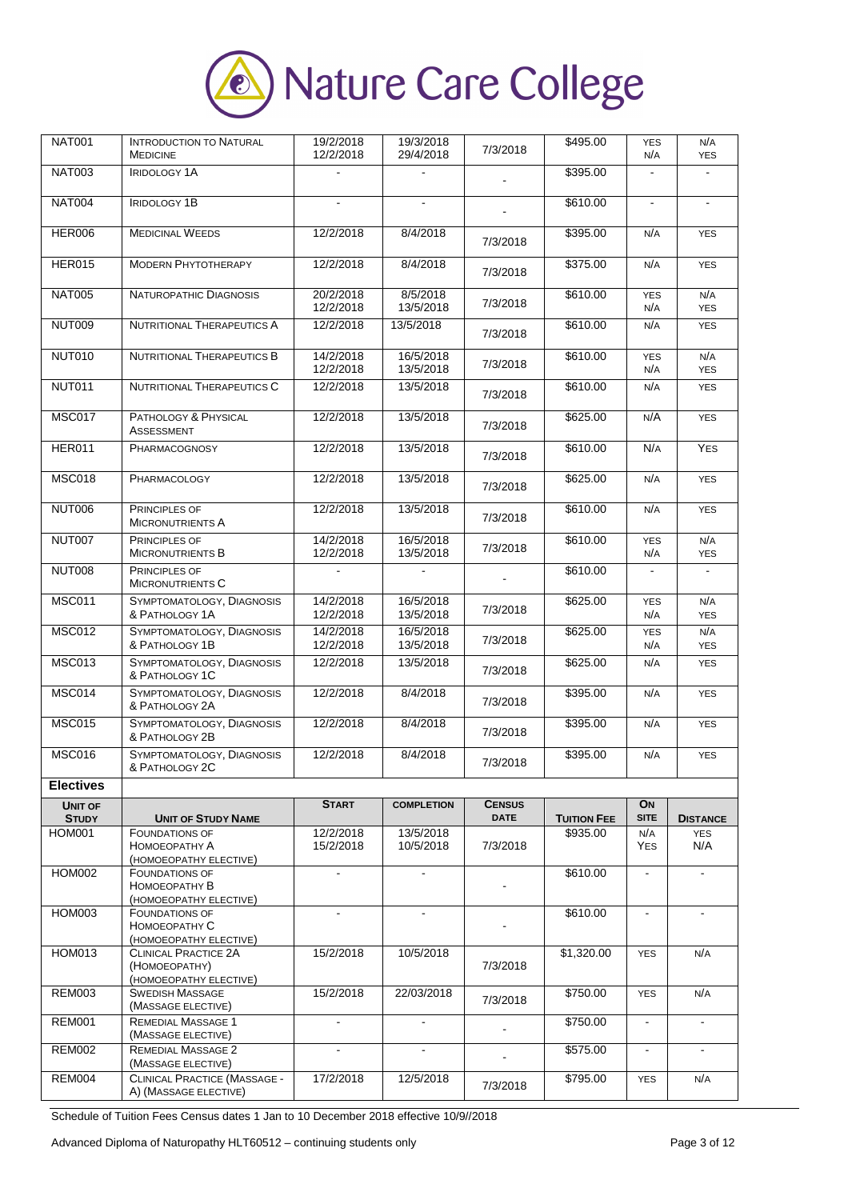

| <b>NAT001</b>                 | <b>INTRODUCTION TO NATURAL</b>                                         | 19/2/2018              | 19/3/2018                | 7/3/2018      | \$495.00                       | <b>YES</b>         | N/A                           |
|-------------------------------|------------------------------------------------------------------------|------------------------|--------------------------|---------------|--------------------------------|--------------------|-------------------------------|
|                               | <b>MEDICINE</b>                                                        | 12/2/2018              | 29/4/2018                |               |                                | N/A                | <b>YES</b>                    |
| <b>NAT003</b>                 | <b>IRIDOLOGY 1A</b>                                                    |                        |                          |               | \$395.00                       | $\blacksquare$     |                               |
| <b>NAT004</b>                 | <b>IRIDOLOGY 1B</b>                                                    |                        | $\blacksquare$           |               | \$610.00                       |                    |                               |
| <b>HER006</b>                 | <b>MEDICINAL WEEDS</b>                                                 | 12/2/2018              | 8/4/2018                 | 7/3/2018      | \$395.00                       | N/A                | <b>YES</b>                    |
| <b>HER015</b>                 | <b>MODERN PHYTOTHERAPY</b>                                             | 12/2/2018              | 8/4/2018                 | 7/3/2018      | \$375.00                       | N/A                | <b>YES</b>                    |
| <b>NAT005</b>                 | NATUROPATHIC DIAGNOSIS                                                 | 20/2/2018<br>12/2/2018 | 8/5/2018<br>13/5/2018    | 7/3/2018      | \$610.00                       | <b>YES</b><br>N/A  | N/A<br><b>YES</b>             |
| <b>NUT009</b>                 | <b>NUTRITIONAL THERAPEUTICS A</b>                                      | 12/2/2018              | 13/5/2018                | 7/3/2018      | \$610.00                       | N/A                | <b>YES</b>                    |
| <b>NUT010</b>                 | NUTRITIONAL THERAPEUTICS B                                             | 14/2/2018<br>12/2/2018 | 16/5/2018<br>13/5/2018   | 7/3/2018      | \$610.00                       | <b>YES</b><br>N/A  | N/A<br><b>YES</b>             |
| <b>NUT011</b>                 | NUTRITIONAL THERAPEUTICS C                                             | 12/2/2018              | 13/5/2018                | 7/3/2018      | \$610.00                       | N/A                | <b>YES</b>                    |
| <b>MSC017</b>                 | PATHOLOGY & PHYSICAL<br><b>ASSESSMENT</b>                              | 12/2/2018              | 13/5/2018                | 7/3/2018      | \$625.00                       | N/A                | <b>YES</b>                    |
| <b>HER011</b>                 | <b>PHARMACOGNOSY</b>                                                   | 12/2/2018              | 13/5/2018                | 7/3/2018      | \$610.00                       | N/A                | <b>YES</b>                    |
| <b>MSC018</b>                 | PHARMACOLOGY                                                           | 12/2/2018              | 13/5/2018                | 7/3/2018      | \$625.00                       | N/A                | <b>YES</b>                    |
| <b>NUT006</b>                 | PRINCIPLES OF<br><b>MICRONUTRIENTS A</b>                               | 12/2/2018              | 13/5/2018                | 7/3/2018      | \$610.00                       | N/A                | <b>YES</b>                    |
| <b>NUT007</b>                 | PRINCIPLES OF<br>MICRONUTRIENTS B                                      | 14/2/2018<br>12/2/2018 | 16/5/2018<br>13/5/2018   | 7/3/2018      | \$610.00                       | <b>YES</b><br>N/A  | N/A<br><b>YES</b>             |
| <b>NUT008</b>                 | PRINCIPLES OF<br><b>MICRONUTRIENTS C</b>                               | $\blacksquare$         | $\blacksquare$           |               | \$610.00                       | $\blacksquare$     |                               |
| <b>MSC011</b>                 | SYMPTOMATOLOGY, DIAGNOSIS<br>& PATHOLOGY 1A                            | 14/2/2018<br>12/2/2018 | 16/5/2018<br>13/5/2018   | 7/3/2018      | \$625.00                       | <b>YES</b><br>N/A  | N/A<br><b>YES</b>             |
| <b>MSC012</b>                 | SYMPTOMATOLOGY, DIAGNOSIS<br>& PATHOLOGY 1B                            | 14/2/2018<br>12/2/2018 | 16/5/2018<br>13/5/2018   | 7/3/2018      | \$625.00                       | <b>YES</b><br>N/A  | N/A<br><b>YES</b>             |
| <b>MSC013</b>                 | SYMPTOMATOLOGY, DIAGNOSIS<br>& PATHOLOGY 1C                            | 12/2/2018              | 13/5/2018                | 7/3/2018      | \$625.00                       | N/A                | <b>YES</b>                    |
| <b>MSC014</b>                 | SYMPTOMATOLOGY, DIAGNOSIS<br>& PATHOLOGY 2A                            | 12/2/2018              | 8/4/2018                 | 7/3/2018      | \$395.00                       | N/A                | <b>YES</b>                    |
| <b>MSC015</b>                 | SYMPTOMATOLOGY, DIAGNOSIS<br>& PATHOLOGY 2B                            | 12/2/2018              | 8/4/2018                 | 7/3/2018      | \$395.00                       | N/A                | <b>YES</b>                    |
| <b>MSC016</b>                 | SYMPTOMATOLOGY, DIAGNOSIS<br>& PATHOLOGY 2C                            | 12/2/2018              | 8/4/2018                 | 7/3/2018      | \$395.00                       | N/A                | <b>YES</b>                    |
| <b>Electives</b>              |                                                                        |                        |                          |               |                                |                    |                               |
| <b>UNIT OF</b>                |                                                                        | <b>START</b>           | <b>COMPLETION</b>        | <b>CENSUS</b> |                                | ON                 |                               |
| <b>STUDY</b><br><b>HOM001</b> | <b>UNIT OF STUDY NAME</b><br><b>FOUNDATIONS OF</b>                     | 12/2/2018              | 13/5/2018                | <b>DATE</b>   | <b>TUITION FEE</b><br>\$935.00 | <b>SITE</b><br>N/A | <b>DISTANCE</b><br><b>YES</b> |
|                               | Номоеоратну А<br>(HOMOEOPATHY ELECTIVE)                                | 15/2/2018              | 10/5/2018                | 7/3/2018      |                                | <b>YES</b>         | N/A                           |
| <b>HOM002</b>                 | <b>FOUNDATIONS OF</b><br>Номоеоратну В                                 |                        |                          |               | \$610.00                       | $\blacksquare$     |                               |
| HOM003                        | (HOMOEOPATHY ELECTIVE)<br><b>FOUNDATIONS OF</b><br>HOMOEOPATHY C       | $\mathbf{r}$           | $\mathbf{r}$             |               | \$610.00                       | $\blacksquare$     | ÷.                            |
|                               | (HOMOEOPATHY ELECTIVE)                                                 |                        |                          |               |                                |                    |                               |
| <b>HOM013</b>                 | <b>CLINICAL PRACTICE 2A</b><br>(HOMOEOPATHY)<br>(HOMOEOPATHY ELECTIVE) | 15/2/2018              | 10/5/2018                | 7/3/2018      | \$1,320.00                     | <b>YES</b>         | N/A                           |
| <b>REM003</b>                 | <b>SWEDISH MASSAGE</b><br>(MASSAGE ELECTIVE)                           | 15/2/2018              | 22/03/2018               | 7/3/2018      | \$750.00                       | <b>YES</b>         | N/A                           |
| <b>REM001</b>                 | <b>REMEDIAL MASSAGE 1</b><br>(MASSAGE ELECTIVE)                        |                        |                          |               | \$750.00                       | $\blacksquare$     |                               |
| <b>REM002</b>                 | REMEDIAL MASSAGE 2<br>(MASSAGE ELECTIVE)                               |                        | $\overline{\phantom{a}}$ |               | \$575.00                       | $\blacksquare$     | $\blacksquare$                |
| <b>REM004</b>                 | CLINICAL PRACTICE (MASSAGE -<br>A) (MASSAGE ELECTIVE)                  | 17/2/2018              | 12/5/2018                | 7/3/2018      | \$795.00                       | <b>YES</b>         | N/A                           |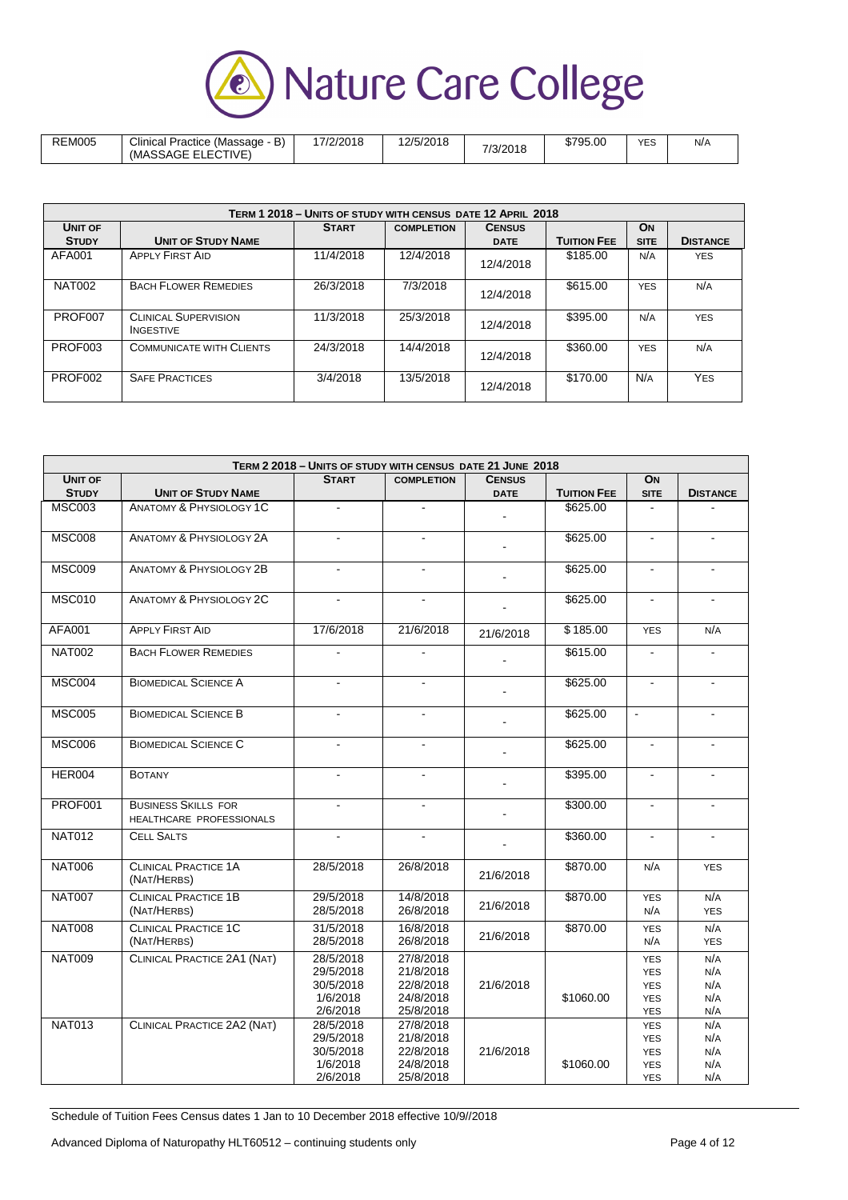

| <b>REM005</b> | `ת<br>Clinical<br>Practice<br>(Massage<br>Þ<br>ECTIVE<br>$\sim$ $-$<br>(MASSAGE)<br>- | 17/2/2018 | 12/5/2018 | 7/3/2018 | \$795.00 | <b>YES</b><br>__ | N/A |
|---------------|---------------------------------------------------------------------------------------|-----------|-----------|----------|----------|------------------|-----|
|---------------|---------------------------------------------------------------------------------------|-----------|-----------|----------|----------|------------------|-----|

|               |                                                 | TERM 1 2018 - UNITS OF STUDY WITH CENSUS DATE 12 APRIL 2018 |                   |               |                    |             |                 |
|---------------|-------------------------------------------------|-------------------------------------------------------------|-------------------|---------------|--------------------|-------------|-----------------|
| UNIT OF       |                                                 | <b>START</b>                                                | <b>COMPLETION</b> | <b>CENSUS</b> |                    | <b>ON</b>   |                 |
| <b>STUDY</b>  | <b>UNIT OF STUDY NAME</b>                       |                                                             |                   | <b>DATE</b>   | <b>TUITION FEE</b> | <b>SITE</b> | <b>DISTANCE</b> |
| AFA001        | <b>APPLY FIRST AID</b>                          | 11/4/2018                                                   | 12/4/2018         | 12/4/2018     | \$185.00           | N/A         | <b>YES</b>      |
| <b>NAT002</b> | <b>BACH FLOWER REMEDIES</b>                     | 26/3/2018                                                   | 7/3/2018          | 12/4/2018     | \$615.00           | <b>YES</b>  | N/A             |
| PROF007       | <b>CLINICAL SUPERVISION</b><br><b>INGESTIVE</b> | 11/3/2018                                                   | 25/3/2018         | 12/4/2018     | \$395.00           | N/A         | <b>YES</b>      |
| PROF003       | <b>COMMUNICATE WITH CLIENTS</b>                 | 24/3/2018                                                   | 14/4/2018         | 12/4/2018     | \$360.00           | <b>YES</b>  | N/A             |
| PROF002       | <b>SAFE PRACTICES</b>                           | 3/4/2018                                                    | 13/5/2018         | 12/4/2018     | \$170.00           | N/A         | <b>YES</b>      |

|                |                                                        | TERM 2 2018 - UNITS OF STUDY WITH CENSUS DATE 21 JUNE 2018  |                                                               |                |                    |                                                                    |                                 |
|----------------|--------------------------------------------------------|-------------------------------------------------------------|---------------------------------------------------------------|----------------|--------------------|--------------------------------------------------------------------|---------------------------------|
| <b>UNIT OF</b> |                                                        | <b>START</b>                                                | <b>COMPLETION</b>                                             | <b>CENSUS</b>  |                    | ON                                                                 |                                 |
| <b>STUDY</b>   | <b>UNIT OF STUDY NAME</b>                              |                                                             |                                                               | <b>DATE</b>    | <b>TUITION FEE</b> | <b>SITE</b>                                                        | <b>DISTANCE</b>                 |
| <b>MSC003</b>  | <b>ANATOMY &amp; PHYSIOLOGY 1C</b>                     |                                                             | $\blacksquare$                                                |                | \$625.00           | ÷,                                                                 |                                 |
| <b>MSC008</b>  | <b>ANATOMY &amp; PHYSIOLOGY 2A</b>                     | $\sim$                                                      | $\mathbf{r}$                                                  | $\blacksquare$ | \$625.00           | $\blacksquare$                                                     | $\blacksquare$                  |
| <b>MSC009</b>  | <b>ANATOMY &amp; PHYSIOLOGY 2B</b>                     |                                                             |                                                               |                | \$625.00           | $\blacksquare$                                                     |                                 |
| <b>MSC010</b>  | <b>ANATOMY &amp; PHYSIOLOGY 2C</b>                     | $\blacksquare$                                              | $\blacksquare$                                                |                | \$625.00           | $\blacksquare$                                                     | $\blacksquare$                  |
| <b>AFA001</b>  | <b>APPLY FIRST AID</b>                                 | 17/6/2018                                                   | 21/6/2018                                                     | 21/6/2018      | \$185.00           | <b>YES</b>                                                         | N/A                             |
| <b>NAT002</b>  | <b>BACH FLOWER REMEDIES</b>                            | $\mathbf{r}$                                                | $\blacksquare$                                                |                | \$615.00           | $\blacksquare$                                                     | $\mathbf{r}$                    |
| <b>MSC004</b>  | <b>BIOMEDICAL SCIENCE A</b>                            | $\blacksquare$                                              | $\blacksquare$                                                |                | \$625.00           | $\blacksquare$                                                     | $\blacksquare$                  |
| <b>MSC005</b>  | <b>BIOMEDICAL SCIENCE B</b>                            |                                                             |                                                               |                | \$625.00           | $\tilde{\phantom{a}}$                                              |                                 |
| <b>MSC006</b>  | <b>BIOMEDICAL SCIENCE C</b>                            | $\blacksquare$                                              | $\blacksquare$                                                |                | \$625.00           | $\blacksquare$                                                     |                                 |
| HER004         | <b>BOTANY</b>                                          | $\blacksquare$                                              | $\blacksquare$                                                | ÷              | \$395.00           | $\blacksquare$                                                     | $\blacksquare$                  |
| PROF001        | <b>BUSINESS SKILLS FOR</b><br>HEALTHCARE PROFESSIONALS | $\mathbf{r}$                                                |                                                               |                | \$300.00           | $\blacksquare$                                                     |                                 |
| <b>NAT012</b>  | <b>CELL SALTS</b>                                      | $\blacksquare$                                              | $\blacksquare$                                                |                | \$360.00           | $\blacksquare$                                                     | $\blacksquare$                  |
| <b>NAT006</b>  | <b>CLINICAL PRACTICE 1A</b><br>(NAT/HERBS)             | 28/5/2018                                                   | 26/8/2018                                                     | 21/6/2018      | \$870.00           | N/A                                                                | <b>YES</b>                      |
| <b>NAT007</b>  | <b>CLINICAL PRACTICE 1B</b><br>(NAT/HERBS)             | 29/5/2018<br>28/5/2018                                      | 14/8/2018<br>26/8/2018                                        | 21/6/2018      | \$870.00           | <b>YES</b><br>N/A                                                  | N/A<br><b>YES</b>               |
| <b>NAT008</b>  | <b>CLINICAL PRACTICE 1C</b><br>(NAT/HERBS)             | 31/5/2018<br>28/5/2018                                      | 16/8/2018<br>26/8/2018                                        | 21/6/2018      | \$870.00           | <b>YES</b><br>N/A                                                  | N/A<br><b>YES</b>               |
| <b>NAT009</b>  | CLINICAL PRACTICE 2A1 (NAT)                            | 28/5/2018<br>29/5/2018<br>30/5/2018<br>1/6/2018<br>2/6/2018 | 27/8/2018<br>21/8/2018<br>22/8/2018<br>24/8/2018<br>25/8/2018 | 21/6/2018      | \$1060.00          | <b>YES</b><br><b>YES</b><br><b>YES</b><br><b>YES</b><br><b>YES</b> | N/A<br>N/A<br>N/A<br>N/A<br>N/A |
| <b>NAT013</b>  | CLINICAL PRACTICE 2A2 (NAT)                            | 28/5/2018<br>29/5/2018<br>30/5/2018<br>1/6/2018<br>2/6/2018 | 27/8/2018<br>21/8/2018<br>22/8/2018<br>24/8/2018<br>25/8/2018 | 21/6/2018      | \$1060.00          | <b>YES</b><br><b>YES</b><br><b>YES</b><br><b>YES</b><br><b>YES</b> | N/A<br>N/A<br>N/A<br>N/A<br>N/A |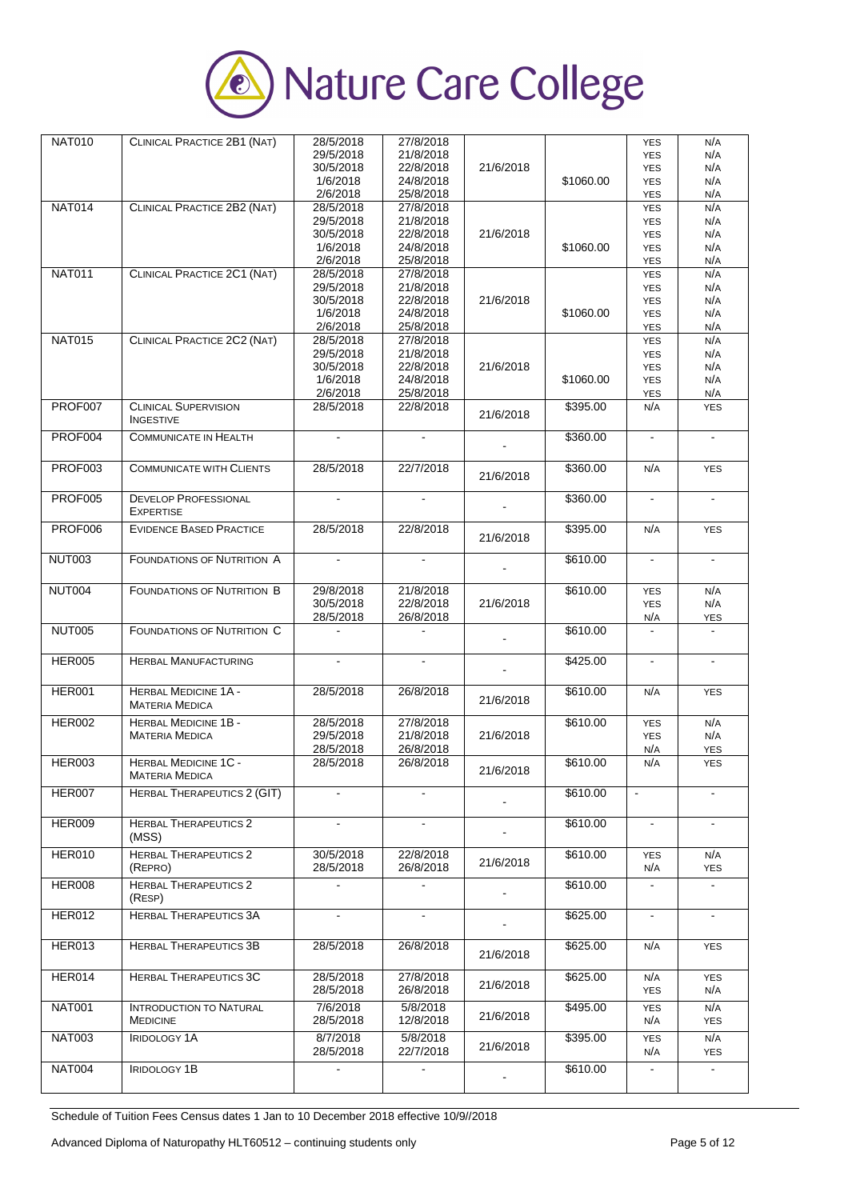

| <b>NAT010</b>  | CLINICAL PRACTICE 2B1 (NAT)        | 28/5/2018      | 27/8/2018      |           |           | <b>YES</b>     | N/A          |
|----------------|------------------------------------|----------------|----------------|-----------|-----------|----------------|--------------|
|                |                                    | 29/5/2018      | 21/8/2018      |           |           | <b>YES</b>     | N/A          |
|                |                                    | 30/5/2018      | 22/8/2018      | 21/6/2018 |           | <b>YES</b>     | N/A          |
|                |                                    |                |                |           |           |                |              |
|                |                                    | 1/6/2018       | 24/8/2018      |           | \$1060.00 | <b>YES</b>     | N/A          |
|                |                                    | 2/6/2018       | 25/8/2018      |           |           | YES            | N/A          |
| <b>NAT014</b>  | CLINICAL PRACTICE 2B2 (NAT)        | 28/5/2018      | 27/8/2018      |           |           |                | N/A          |
|                |                                    |                |                |           |           | <b>YES</b>     |              |
|                |                                    | 29/5/2018      | 21/8/2018      |           |           | <b>YES</b>     | N/A          |
|                |                                    | 30/5/2018      | 22/8/2018      | 21/6/2018 |           | <b>YES</b>     | N/A          |
|                |                                    |                |                |           |           |                |              |
|                |                                    | 1/6/2018       | 24/8/2018      |           | \$1060.00 | <b>YES</b>     | N/A          |
|                |                                    | 2/6/2018       | 25/8/2018      |           |           | <b>YES</b>     | N/A          |
|                |                                    |                |                |           |           |                |              |
| <b>NAT011</b>  | CLINICAL PRACTICE 2C1 (NAT)        | 28/5/2018      | 27/8/2018      |           |           | <b>YES</b>     | N/A          |
|                |                                    | 29/5/2018      | 21/8/2018      |           |           | <b>YES</b>     | N/A          |
|                |                                    |                |                |           |           |                |              |
|                |                                    | 30/5/2018      | 22/8/2018      | 21/6/2018 |           | <b>YES</b>     | N/A          |
|                |                                    | 1/6/2018       | 24/8/2018      |           | \$1060.00 | <b>YES</b>     | N/A          |
|                |                                    |                |                |           |           |                |              |
|                |                                    | 2/6/2018       | 25/8/2018      |           |           | <b>YES</b>     | N/A          |
| <b>NAT015</b>  | CLINICAL PRACTICE 2C2 (NAT)        | 28/5/2018      | 27/8/2018      |           |           | <b>YES</b>     | N/A          |
|                |                                    | 29/5/2018      | 21/8/2018      |           |           |                | N/A          |
|                |                                    |                |                |           |           | <b>YES</b>     |              |
|                |                                    | 30/5/2018      | 22/8/2018      | 21/6/2018 |           | <b>YES</b>     | N/A          |
|                |                                    | 1/6/2018       | 24/8/2018      |           | \$1060.00 | <b>YES</b>     | N/A          |
|                |                                    |                |                |           |           |                |              |
|                |                                    | 2/6/2018       | 25/8/2018      |           |           | YES            | N/A          |
| PROF007        | <b>CLINICAL SUPERVISION</b>        | 28/5/2018      | 22/8/2018      |           | \$395.00  | N/A            | <b>YES</b>   |
|                |                                    |                |                | 21/6/2018 |           |                |              |
|                | <b>INGESTIVE</b>                   |                |                |           |           |                |              |
|                |                                    |                |                |           |           |                |              |
| PROF004        | <b>COMMUNICATE IN HEALTH</b>       |                |                |           | \$360.00  | $\blacksquare$ | $\mathbf{r}$ |
|                |                                    |                |                |           |           |                |              |
|                |                                    |                |                |           |           |                |              |
| PROF003        | <b>COMMUNICATE WITH CLIENTS</b>    | 28/5/2018      | 22/7/2018      |           | \$360.00  | N/A            | <b>YES</b>   |
|                |                                    |                |                | 21/6/2018 |           |                |              |
|                |                                    |                |                |           |           |                |              |
| <b>PROF005</b> |                                    |                |                |           |           |                |              |
|                | <b>DEVELOP PROFESSIONAL</b>        |                |                |           | \$360.00  | $\blacksquare$ |              |
|                | <b>EXPERTISE</b>                   |                |                |           |           |                |              |
|                |                                    |                |                |           |           |                |              |
| <b>PROF006</b> | <b>EVIDENCE BASED PRACTICE</b>     | 28/5/2018      | 22/8/2018      |           | \$395.00  | N/A            | <b>YES</b>   |
|                |                                    |                |                | 21/6/2018 |           |                |              |
|                |                                    |                |                |           |           |                |              |
| <b>NUT003</b>  | <b>FOUNDATIONS OF NUTRITION A</b>  |                |                |           | \$610.00  |                |              |
|                |                                    |                |                |           |           |                |              |
|                |                                    |                |                |           |           |                |              |
|                |                                    |                |                |           |           |                |              |
| <b>NUT004</b>  | <b>FOUNDATIONS OF NUTRITION B</b>  | 29/8/2018      | 21/8/2018      |           | \$610.00  | <b>YES</b>     | N/A          |
|                |                                    | 30/5/2018      | 22/8/2018      | 21/6/2018 |           | <b>YES</b>     | N/A          |
|                |                                    | 28/5/2018      | 26/8/2018      |           |           |                |              |
|                |                                    |                |                |           |           | N/A            | <b>YES</b>   |
|                |                                    |                |                |           |           |                |              |
|                |                                    |                |                |           |           |                |              |
| <b>NUT005</b>  | <b>FOUNDATIONS OF NUTRITION C</b>  |                |                |           | \$610.00  |                |              |
|                |                                    |                |                |           |           |                |              |
|                |                                    |                |                |           |           |                |              |
| <b>HER005</b>  | <b>HERBAL MANUFACTURING</b>        |                |                |           | \$425.00  |                |              |
|                |                                    |                |                |           |           |                |              |
|                |                                    |                |                |           |           |                |              |
| <b>HER001</b>  | <b>HERBAL MEDICINE 1A -</b>        | 28/5/2018      | 26/8/2018      |           | \$610.00  | N/A            | <b>YES</b>   |
|                |                                    |                |                | 21/6/2018 |           |                |              |
|                | <b>MATERIA MEDICA</b>              |                |                |           |           |                |              |
|                |                                    |                |                |           |           |                |              |
| <b>HER002</b>  | <b>HERBAL MEDICINE 1B -</b>        | 28/5/2018      | 27/8/2018      |           | \$610.00  | <b>YES</b>     | N/A          |
|                | <b>MATERIA MEDICA</b>              | 29/5/2018      | 21/8/2018      | 21/6/2018 |           | <b>YES</b>     | N/A          |
|                |                                    |                |                |           |           |                |              |
|                |                                    | 28/5/2018      | 26/8/2018      |           |           | N/A            | <b>YES</b>   |
| <b>HER003</b>  | <b>HERBAL MEDICINE 1C -</b>        | 28/5/2018      | 26/8/2018      |           | \$610.00  | N/A            | <b>YES</b>   |
|                | <b>MATERIA MEDICA</b>              |                |                | 21/6/2018 |           |                |              |
|                |                                    |                |                |           |           |                |              |
| <b>HER007</b>  | <b>HERBAL THERAPEUTICS 2 (GIT)</b> | $\overline{a}$ | $\overline{a}$ |           | \$610.00  | $\blacksquare$ |              |
|                |                                    |                |                |           |           |                |              |
|                |                                    |                |                |           |           |                |              |
|                |                                    |                |                |           |           |                |              |
| <b>HER009</b>  | <b>HERBAL THERAPEUTICS 2</b>       |                |                |           | \$610.00  |                |              |
|                | (MSS)                              |                |                |           |           |                |              |
|                |                                    |                |                |           |           |                |              |
| <b>HER010</b>  | <b>HERBAL THERAPEUTICS 2</b>       | 30/5/2018      | 22/8/2018      |           | \$610.00  | <b>YES</b>     | N/A          |
|                | (REPRO)                            | 28/5/2018      | 26/8/2018      | 21/6/2018 |           | N/A            | <b>YES</b>   |
|                |                                    |                |                |           |           |                |              |
| <b>HER008</b>  | <b>HERBAL THERAPEUTICS 2</b>       |                |                |           | \$610.00  |                |              |
|                |                                    |                |                |           |           |                |              |
|                | (RESP)                             |                |                |           |           |                |              |
| <b>HER012</b>  | <b>HERBAL THERAPEUTICS 3A</b>      | ÷.             | $\blacksquare$ |           |           | $\omega$       | $\mathbf{r}$ |
|                |                                    |                |                |           | \$625.00  |                |              |
|                |                                    |                |                |           |           |                |              |
|                |                                    |                |                |           |           |                |              |
| <b>HER013</b>  | <b>HERBAL THERAPEUTICS 3B</b>      | 28/5/2018      | 26/8/2018      |           | \$625.00  | N/A            | <b>YES</b>   |
|                |                                    |                |                | 21/6/2018 |           |                |              |
|                |                                    |                |                |           |           |                |              |
| HER014         | <b>HERBAL THERAPEUTICS 3C</b>      | 28/5/2018      | 27/8/2018      |           | \$625.00  | N/A            | <b>YES</b>   |
|                |                                    |                |                | 21/6/2018 |           |                |              |
|                |                                    | 28/5/2018      | 26/8/2018      |           |           | <b>YES</b>     | N/A          |
|                |                                    |                |                |           |           |                |              |
| <b>NAT001</b>  | <b>INTRODUCTION TO NATURAL</b>     | 7/6/2018       | 5/8/2018       |           | \$495.00  | <b>YES</b>     | N/A          |
|                | <b>MEDICINE</b>                    | 28/5/2018      | 12/8/2018      | 21/6/2018 |           | N/A            | <b>YES</b>   |
|                |                                    |                |                |           |           |                |              |
| <b>NAT003</b>  | <b>IRIDOLOGY 1A</b>                | 8/7/2018       | 5/8/2018       |           | \$395.00  | <b>YES</b>     | N/A          |
|                |                                    |                |                | 21/6/2018 |           |                |              |
|                |                                    | 28/5/2018      | 22/7/2018      |           |           | N/A            | <b>YES</b>   |
| <b>NAT004</b>  | <b>IRIDOLOGY 1B</b>                | ۰              | $\blacksquare$ |           | \$610.00  | $\blacksquare$ |              |
|                |                                    |                |                |           |           |                |              |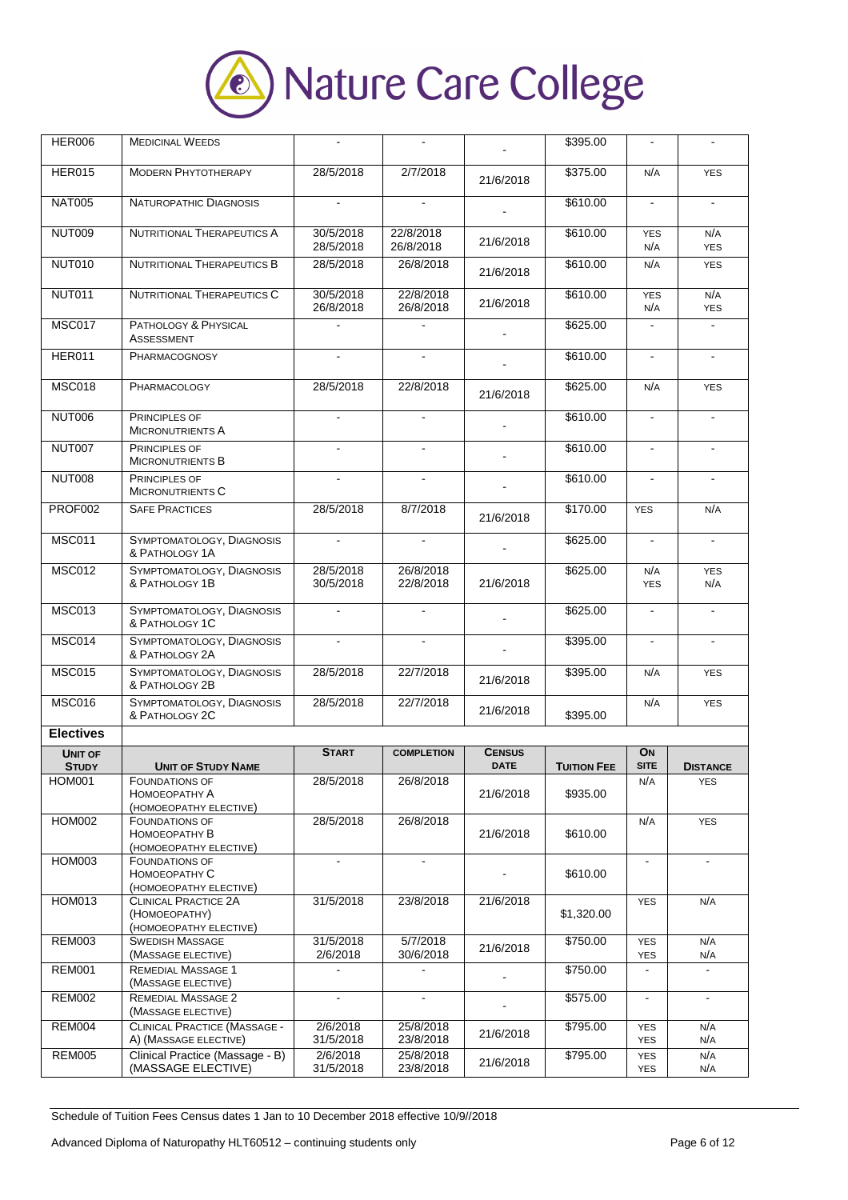

| <b>HER006</b>    | <b>MEDICINAL WEEDS</b>                                           |                        |                        |               | \$395.00           | $\blacksquare$           |                   |
|------------------|------------------------------------------------------------------|------------------------|------------------------|---------------|--------------------|--------------------------|-------------------|
| <b>HER015</b>    | <b>MODERN PHYTOTHERAPY</b>                                       | 28/5/2018              | 2/7/2018               | 21/6/2018     | \$375.00           | N/A                      | <b>YES</b>        |
| <b>NAT005</b>    | <b>NATUROPATHIC DIAGNOSIS</b>                                    | $\blacksquare$         | $\blacksquare$         |               | \$610.00           | $\blacksquare$           | $\blacksquare$    |
| <b>NUT009</b>    | <b>NUTRITIONAL THERAPEUTICS A</b>                                | 30/5/2018<br>28/5/2018 | 22/8/2018<br>26/8/2018 | 21/6/2018     | \$610.00           | <b>YES</b><br>N/A        | N/A<br><b>YES</b> |
| <b>NUT010</b>    | <b>NUTRITIONAL THERAPEUTICS B</b>                                | 28/5/2018              | 26/8/2018              | 21/6/2018     | \$610.00           | N/A                      | <b>YES</b>        |
| <b>NUT011</b>    | <b>NUTRITIONAL THERAPEUTICS C</b>                                | 30/5/2018<br>26/8/2018 | 22/8/2018<br>26/8/2018 | 21/6/2018     | \$610.00           | <b>YES</b><br>N/A        | N/A<br><b>YES</b> |
| <b>MSC017</b>    | PATHOLOGY & PHYSICAL<br><b>ASSESSMENT</b>                        |                        |                        |               | \$625.00           |                          |                   |
| <b>HER011</b>    | PHARMACOGNOSY                                                    |                        |                        |               | \$610.00           |                          |                   |
| <b>MSC018</b>    | <b>PHARMACOLOGY</b>                                              | 28/5/2018              | 22/8/2018              | 21/6/2018     | \$625.00           | N/A                      | <b>YES</b>        |
| <b>NUT006</b>    | <b>PRINCIPLES OF</b><br><b>MICRONUTRIENTS A</b>                  | $\blacksquare$         | $\blacksquare$         |               | \$610.00           | $\blacksquare$           | ÷.                |
| NUT007           | PRINCIPLES OF<br><b>MICRONUTRIENTS B</b>                         |                        |                        |               | \$610.00           |                          |                   |
| NUT008           | <b>PRINCIPLES OF</b><br><b>MICRONUTRIENTS C</b>                  |                        |                        |               | \$610.00           |                          |                   |
| PROF002          | <b>SAFE PRACTICES</b>                                            | 28/5/2018              | 8/7/2018               | 21/6/2018     | \$170.00           | <b>YES</b>               | N/A               |
| <b>MSC011</b>    | SYMPTOMATOLOGY, DIAGNOSIS<br>& PATHOLOGY 1A                      |                        |                        |               | \$625.00           |                          |                   |
| <b>MSC012</b>    | SYMPTOMATOLOGY, DIAGNOSIS<br>& PATHOLOGY 1B                      | 28/5/2018<br>30/5/2018 | 26/8/2018<br>22/8/2018 | 21/6/2018     | \$625.00           | N/A<br><b>YES</b>        | <b>YES</b><br>N/A |
| <b>MSC013</b>    | SYMPTOMATOLOGY, DIAGNOSIS<br>& PATHOLOGY 1C                      |                        | $\blacksquare$         |               | \$625.00           |                          | $\blacksquare$    |
| <b>MSC014</b>    | SYMPTOMATOLOGY, DIAGNOSIS<br>& PATHOLOGY 2A                      |                        | $\overline{a}$         |               | \$395.00           | $\mathbf{r}$             |                   |
| <b>MSC015</b>    | SYMPTOMATOLOGY, DIAGNOSIS<br>& PATHOLOGY 2B                      | 28/5/2018              | 22/7/2018              | 21/6/2018     | \$395.00           | N/A                      | <b>YES</b>        |
| <b>MSC016</b>    | SYMPTOMATOLOGY, DIAGNOSIS<br>& PATHOLOGY 2C                      | 28/5/2018              | 22/7/2018              | 21/6/2018     | \$395.00           | N/A                      | <b>YES</b>        |
| <b>Electives</b> |                                                                  |                        |                        |               |                    |                          |                   |
| UNIT OF          |                                                                  | <b>START</b>           | <b>COMPLETION</b>      | <b>CENSUS</b> |                    | <b>ON</b>                |                   |
| <b>STUDY</b>     | <b>UNIT OF STUDY NAME</b>                                        |                        |                        | <b>DATE</b>   | <b>TUITION FEE</b> | <b>SITE</b>              | <b>DISTANCE</b>   |
| HOM001           | <b>FOUNDATIONS OF</b><br>НОМОЕОРАТНУ А<br>(HOMOEOPATHY ELECTIVE) | 28/5/2018              | 26/8/2018              | 21/6/2018     | \$935.00           | N/A                      | <b>YES</b>        |
| <b>HOM002</b>    | <b>FOUNDATIONS OF</b><br>HOMOEOPATHY B<br>(HOMOEOPATHY ELECTIVE) | 28/5/2018              | 26/8/2018              | 21/6/2018     | \$610.00           | N/A                      | <b>YES</b>        |
| <b>HOM003</b>    | <b>FOUNDATIONS OF</b><br>HOMOEOPATHY C<br>(HOMOEOPATHY ELECTIVE) | $\blacksquare$         | $\blacksquare$         |               | \$610.00           | $\blacksquare$           | $\blacksquare$    |
| <b>HOM013</b>    | CLINICAL PRACTICE 2A<br>(HOMOEOPATHY)<br>(HOMOEOPATHY ELECTIVE)  | 31/5/2018              | 23/8/2018              | 21/6/2018     | \$1,320.00         | <b>YES</b>               | N/A               |
| <b>REM003</b>    | <b>SWEDISH MASSAGE</b><br>(MASSAGE ELECTIVE)                     | 31/5/2018<br>2/6/2018  | 5/7/2018<br>30/6/2018  | 21/6/2018     | \$750.00           | <b>YES</b><br><b>YES</b> | N/A<br>N/A        |
| <b>REM001</b>    | <b>REMEDIAL MASSAGE 1</b><br>(MASSAGE ELECTIVE)                  |                        |                        |               | \$750.00           |                          |                   |
| <b>REM002</b>    | <b>REMEDIAL MASSAGE 2</b><br>(MASSAGE ELECTIVE)                  | $\blacksquare$         | $\blacksquare$         |               | \$575.00           | $\blacksquare$           | $\blacksquare$    |
| <b>REM004</b>    | CLINICAL PRACTICE (MASSAGE -<br>A) (MASSAGE ELECTIVE)            | 2/6/2018<br>31/5/2018  | 25/8/2018<br>23/8/2018 | 21/6/2018     | \$795.00           | <b>YES</b><br><b>YES</b> | N/A<br>N/A        |
| <b>REM005</b>    | Clinical Practice (Massage - B)<br>(MASSAGE ELECTIVE)            | 2/6/2018<br>31/5/2018  | 25/8/2018<br>23/8/2018 | 21/6/2018     | \$795.00           | <b>YES</b><br><b>YES</b> | N/A<br>N/A        |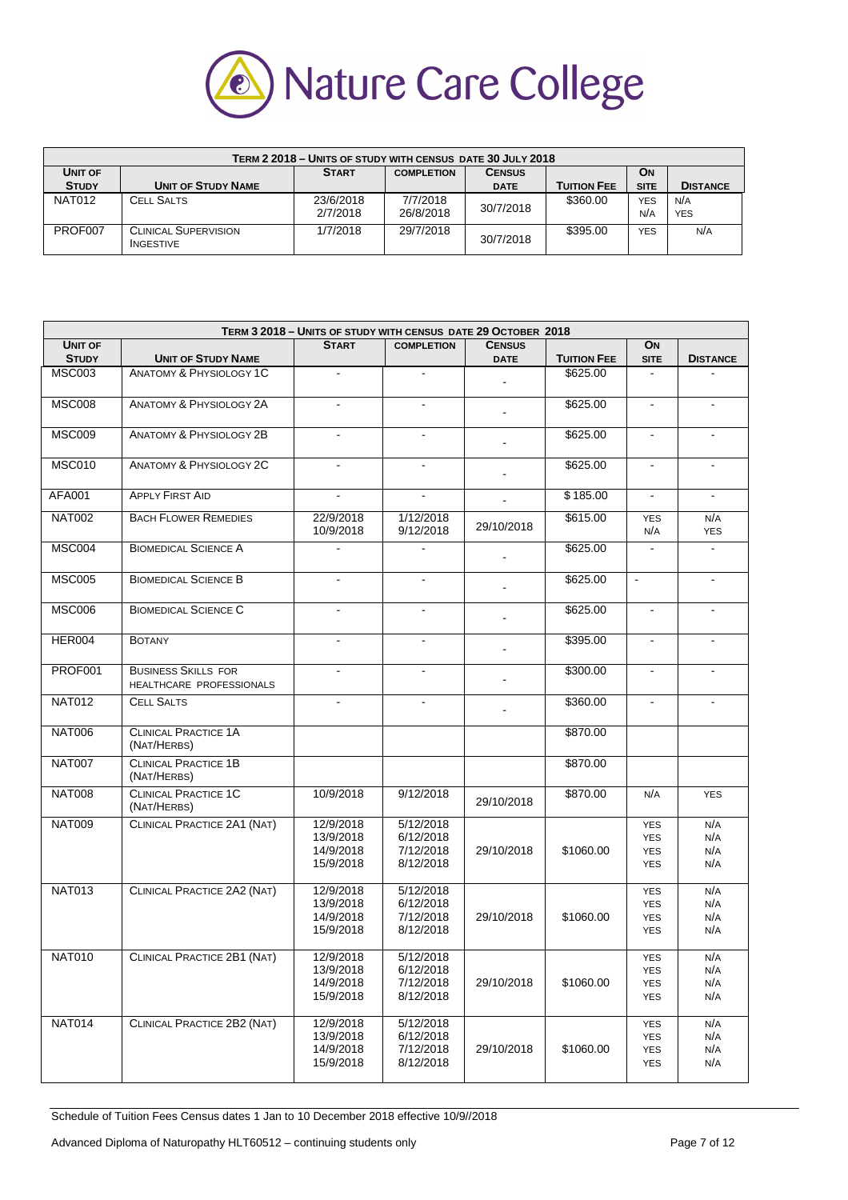

|                |                                                 | TERM 2 2018 - UNITS OF STUDY WITH CENSUS DATE 30 JULY 2018 |                   |               |                    |             |                 |
|----------------|-------------------------------------------------|------------------------------------------------------------|-------------------|---------------|--------------------|-------------|-----------------|
| <b>UNIT OF</b> |                                                 | <b>START</b>                                               | <b>COMPLETION</b> | <b>CENSUS</b> |                    | <b>ON</b>   |                 |
| <b>STUDY</b>   | <b>UNIT OF STUDY NAME</b>                       |                                                            |                   | <b>DATE</b>   | <b>TUITION FEE</b> | <b>SITE</b> | <b>DISTANCE</b> |
| <b>NAT012</b>  | <b>CELL SALTS</b>                               | 23/6/2018                                                  | 7/7/2018          | 30/7/2018     | \$360.00           | <b>YES</b>  | N/A             |
|                |                                                 | 2/7/2018                                                   | 26/8/2018         |               |                    | N/A         | <b>YES</b>      |
| PROF007        | <b>CLINICAL SUPERVISION</b><br><b>INGESTIVE</b> | 1/7/2018                                                   | 29/7/2018         | 30/7/2018     | \$395.00           | <b>YES</b>  | N/A             |

|                |                                                        | TERM 3 2018 - UNITS OF STUDY WITH CENSUS DATE 29 OCTOBER 2018 |                        |                |                    |                   |                   |
|----------------|--------------------------------------------------------|---------------------------------------------------------------|------------------------|----------------|--------------------|-------------------|-------------------|
| <b>UNIT OF</b> |                                                        | <b>START</b>                                                  | <b>COMPLETION</b>      | <b>CENSUS</b>  |                    | ON                |                   |
| <b>STUDY</b>   | <b>UNIT OF STUDY NAME</b>                              |                                                               |                        | <b>DATE</b>    | <b>TUITION FEE</b> | <b>SITE</b>       | <b>DISTANCE</b>   |
| <b>MSC003</b>  | <b>ANATOMY &amp; PHYSIOLOGY 1C</b>                     | $\blacksquare$                                                | $\blacksquare$         |                | \$625.00           |                   |                   |
| <b>MSC008</b>  | <b>ANATOMY &amp; PHYSIOLOGY 2A</b>                     | $\overline{\phantom{a}}$                                      | ä,                     | $\blacksquare$ | \$625.00           | $\Box$            | $\blacksquare$    |
| <b>MSC009</b>  | <b>ANATOMY &amp; PHYSIOLOGY 2B</b>                     | $\blacksquare$                                                | $\blacksquare$         |                | \$625.00           | $\blacksquare$    | $\blacksquare$    |
| <b>MSC010</b>  | <b>ANATOMY &amp; PHYSIOLOGY 2C</b>                     |                                                               | $\blacksquare$         |                | \$625.00           | $\blacksquare$    |                   |
| <b>AFA001</b>  | <b>APPLY FIRST AID</b>                                 | ÷.                                                            | $\blacksquare$         |                | \$185.00           | $\blacksquare$    | $\blacksquare$    |
| <b>NAT002</b>  | <b>BACH FLOWER REMEDIES</b>                            | 22/9/2018<br>10/9/2018                                        | 1/12/2018<br>9/12/2018 | 29/10/2018     | \$615.00           | <b>YES</b><br>N/A | N/A<br><b>YES</b> |
| <b>MSC004</b>  | <b>BIOMEDICAL SCIENCE A</b>                            | $\sim$                                                        | $\blacksquare$         |                | \$625.00           | $\blacksquare$    | $\blacksquare$    |
| <b>MSC005</b>  | <b>BIOMEDICAL SCIENCE B</b>                            | $\blacksquare$                                                | $\blacksquare$         |                | \$625.00           | $\blacksquare$    | $\blacksquare$    |
| <b>MSC006</b>  | <b>BIOMEDICAL SCIENCE C</b>                            |                                                               | $\blacksquare$         |                | \$625.00           | $\sim$            |                   |
| HER004         | <b>BOTANY</b>                                          | $\blacksquare$                                                | $\blacksquare$         |                | \$395.00           | $\blacksquare$    | $\blacksquare$    |
| PROF001        | <b>BUSINESS SKILLS FOR</b><br>HEALTHCARE PROFESSIONALS |                                                               |                        |                | \$300.00           |                   |                   |
| <b>NAT012</b>  | <b>CELL SALTS</b>                                      | $\blacksquare$                                                | $\blacksquare$         |                | \$360.00           | $\blacksquare$    | $\blacksquare$    |
| <b>NAT006</b>  | <b>CLINICAL PRACTICE 1A</b><br>(NAT/HERBS)             |                                                               |                        |                | \$870.00           |                   |                   |
| <b>NAT007</b>  | <b>CLINICAL PRACTICE 1B</b><br>(NAT/HERBS)             |                                                               |                        |                | \$870.00           |                   |                   |
| <b>NAT008</b>  | <b>CLINICAL PRACTICE 1C</b><br>(NAT/HERBS)             | 10/9/2018                                                     | 9/12/2018              | 29/10/2018     | \$870.00           | N/A               | <b>YES</b>        |
| <b>NAT009</b>  | CLINICAL PRACTICE 2A1 (NAT)                            | 12/9/2018                                                     | 5/12/2018              |                |                    | <b>YES</b>        | N/A               |
|                |                                                        | 13/9/2018                                                     | 6/12/2018              |                |                    | <b>YES</b>        | N/A               |
|                |                                                        | 14/9/2018                                                     | 7/12/2018              | 29/10/2018     | \$1060.00          | <b>YES</b>        | N/A               |
|                |                                                        | 15/9/2018                                                     | 8/12/2018              |                |                    | <b>YES</b>        | N/A               |
| <b>NAT013</b>  | CLINICAL PRACTICE 2A2 (NAT)                            | 12/9/2018                                                     | 5/12/2018              |                |                    | <b>YES</b>        | N/A               |
|                |                                                        | 13/9/2018                                                     | 6/12/2018              |                |                    | <b>YES</b>        | N/A               |
|                |                                                        | 14/9/2018                                                     | 7/12/2018              | 29/10/2018     | \$1060.00          | <b>YES</b>        | N/A               |
|                |                                                        | 15/9/2018                                                     | 8/12/2018              |                |                    | <b>YES</b>        | N/A               |
| <b>NAT010</b>  | CLINICAL PRACTICE 2B1 (NAT)                            | 12/9/2018                                                     | 5/12/2018              |                |                    | <b>YES</b>        | N/A               |
|                |                                                        | 13/9/2018                                                     | 6/12/2018              |                |                    | <b>YES</b>        | N/A               |
|                |                                                        | 14/9/2018                                                     | 7/12/2018              | 29/10/2018     | \$1060.00          | <b>YES</b>        | N/A               |
|                |                                                        | 15/9/2018                                                     | 8/12/2018              |                |                    | <b>YES</b>        | N/A               |
| <b>NAT014</b>  | CLINICAL PRACTICE 2B2 (NAT)                            | 12/9/2018                                                     | 5/12/2018              |                |                    | YES               | N/A               |
|                |                                                        | 13/9/2018                                                     | 6/12/2018              |                |                    | <b>YES</b>        | N/A               |
|                |                                                        | 14/9/2018                                                     | 7/12/2018              | 29/10/2018     | \$1060.00          | YES               | N/A               |
|                |                                                        | 15/9/2018                                                     | 8/12/2018              |                |                    | <b>YES</b>        | N/A               |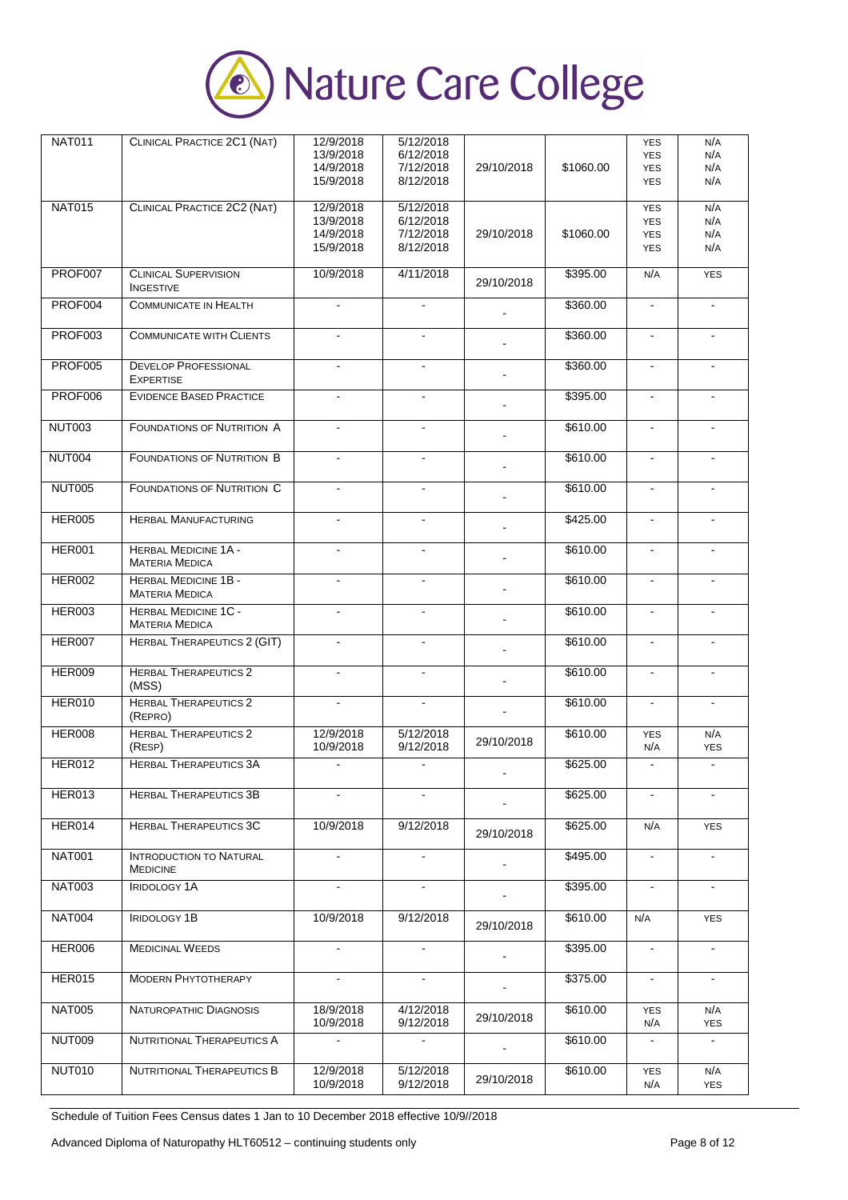

| <b>NAT011</b>  | CLINICAL PRACTICE 2C1 (NAT)                          | 12/9/2018<br>13/9/2018<br>14/9/2018              | 5/12/2018<br>6/12/2018<br>7/12/2018              | 29/10/2018     | \$1060.00 | <b>YES</b><br><b>YES</b><br><b>YES</b>               | N/A<br>N/A<br>N/A        |
|----------------|------------------------------------------------------|--------------------------------------------------|--------------------------------------------------|----------------|-----------|------------------------------------------------------|--------------------------|
|                |                                                      | 15/9/2018                                        | 8/12/2018                                        |                |           | <b>YES</b>                                           | N/A                      |
| <b>NAT015</b>  | CLINICAL PRACTICE 2C2 (NAT)                          | 12/9/2018<br>13/9/2018<br>14/9/2018<br>15/9/2018 | 5/12/2018<br>6/12/2018<br>7/12/2018<br>8/12/2018 | 29/10/2018     | \$1060.00 | <b>YES</b><br><b>YES</b><br><b>YES</b><br><b>YES</b> | N/A<br>N/A<br>N/A<br>N/A |
| PROF007        | <b>CLINICAL SUPERVISION</b><br><b>INGESTIVE</b>      | 10/9/2018                                        | 4/11/2018                                        | 29/10/2018     | \$395.00  | N/A                                                  | <b>YES</b>               |
| PROF004        | <b>COMMUNICATE IN HEALTH</b>                         | $\blacksquare$                                   | $\blacksquare$                                   |                | \$360.00  | $\blacksquare$                                       | $\blacksquare$           |
| PROF003        | <b>COMMUNICATE WITH CLIENTS</b>                      |                                                  |                                                  |                | \$360.00  |                                                      |                          |
| <b>PROF005</b> | <b>DEVELOP PROFESSIONAL</b><br><b>EXPERTISE</b>      | $\blacksquare$                                   | $\blacksquare$                                   |                | \$360.00  | $\blacksquare$                                       | $\overline{a}$           |
| <b>PROF006</b> | <b>EVIDENCE BASED PRACTICE</b>                       |                                                  | $\blacksquare$                                   |                | \$395.00  |                                                      |                          |
| <b>NUT003</b>  | <b>FOUNDATIONS OF NUTRITION A</b>                    | $\blacksquare$                                   | $\blacksquare$                                   |                | \$610.00  | $\blacksquare$                                       | $\blacksquare$           |
| <b>NUT004</b>  | <b>FOUNDATIONS OF NUTRITION B</b>                    | $\blacksquare$                                   | $\blacksquare$                                   |                | \$610.00  | $\blacksquare$                                       | $\blacksquare$           |
| <b>NUT005</b>  | <b>FOUNDATIONS OF NUTRITION C</b>                    | $\overline{a}$                                   | ä,                                               |                | \$610.00  | $\mathbf{r}$                                         |                          |
| <b>HER005</b>  | <b>HERBAL MANUFACTURING</b>                          | $\blacksquare$                                   | $\blacksquare$                                   |                | \$425.00  | $\sim$                                               | $\blacksquare$           |
| <b>HER001</b>  | <b>HERBAL MEDICINE 1A -</b><br><b>MATERIA MEDICA</b> |                                                  |                                                  |                | \$610.00  |                                                      |                          |
| <b>HER002</b>  | <b>HERBAL MEDICINE 1B -</b><br><b>MATERIA MEDICA</b> | $\blacksquare$                                   | $\overline{\phantom{a}}$                         |                | \$610.00  | $\blacksquare$                                       | $\blacksquare$           |
| <b>HER003</b>  | <b>HERBAL MEDICINE 1C -</b><br><b>MATERIA MEDICA</b> | $\blacksquare$                                   | $\blacksquare$                                   |                | \$610.00  | $\blacksquare$                                       | $\blacksquare$           |
| <b>HER007</b>  | <b>HERBAL THERAPEUTICS 2 (GIT)</b>                   | $\blacksquare$                                   |                                                  |                | \$610.00  | $\blacksquare$                                       | $\blacksquare$           |
| <b>HER009</b>  | <b>HERBAL THERAPEUTICS 2</b><br>(MSS)                | $\blacksquare$                                   | $\blacksquare$                                   |                | \$610.00  | $\blacksquare$                                       | $\blacksquare$           |
| <b>HER010</b>  | <b>HERBAL THERAPEUTICS 2</b><br>(REPRO)              |                                                  | L,                                               |                | \$610.00  | $\blacksquare$                                       |                          |
| <b>HER008</b>  | <b>HERBAL THERAPEUTICS 2</b><br>(RESP)               | 12/9/2018<br>10/9/2018                           | 5/12/2018<br>9/12/2018                           | 29/10/2018     | \$610.00  | <b>YES</b><br>N/A                                    | N/A<br><b>YES</b>        |
| <b>HER012</b>  | <b>HERBAL THERAPEUTICS 3A</b>                        | ä,                                               | $\blacksquare$                                   |                | \$625.00  | $\blacksquare$                                       | $\mathbf{r}$             |
| HER013         | <b>HERBAL THERAPEUTICS 3B</b>                        | $\blacksquare$                                   | $\blacksquare$                                   |                | \$625.00  | $\blacksquare$                                       | $\blacksquare$           |
| HER014         | <b>HERBAL THERAPEUTICS 3C</b>                        | 10/9/2018                                        | 9/12/2018                                        | 29/10/2018     | \$625.00  | N/A                                                  | <b>YES</b>               |
| <b>NAT001</b>  | <b>INTRODUCTION TO NATURAL</b><br><b>MEDICINE</b>    |                                                  |                                                  |                | \$495.00  | $\blacksquare$                                       |                          |
| <b>NAT003</b>  | <b>IRIDOLOGY 1A</b>                                  | $\blacksquare$                                   | $\blacksquare$                                   |                | \$395.00  | $\sim$                                               | $\blacksquare$           |
| <b>NAT004</b>  | <b>IRIDOLOGY 1B</b>                                  | 10/9/2018                                        | 9/12/2018                                        | 29/10/2018     | \$610.00  | N/A                                                  | <b>YES</b>               |
| <b>HER006</b>  | <b>MEDICINAL WEEDS</b>                               | $\blacksquare$                                   | $\blacksquare$                                   |                | \$395.00  | $\mathcal{L}_{\mathcal{A}}$                          | $\blacksquare$           |
| <b>HER015</b>  | <b>MODERN PHYTOTHERAPY</b>                           | $\blacksquare$                                   | $\sim$                                           | $\blacksquare$ | \$375.00  | $\blacksquare$                                       | $\blacksquare$           |
| <b>NAT005</b>  | NATUROPATHIC DIAGNOSIS                               | 18/9/2018<br>10/9/2018                           | 4/12/2018<br>9/12/2018                           | 29/10/2018     | \$610.00  | <b>YES</b><br>N/A                                    | N/A<br><b>YES</b>        |
| NUT009         | NUTRITIONAL THERAPEUTICS A                           | $\mathbf{r}$                                     | $\blacksquare$                                   |                | \$610.00  | $\blacksquare$                                       |                          |
| <b>NUT010</b>  | NUTRITIONAL THERAPEUTICS B                           | 12/9/2018<br>10/9/2018                           | 5/12/2018<br>9/12/2018                           | 29/10/2018     | \$610.00  | <b>YES</b><br>N/A                                    | N/A<br><b>YES</b>        |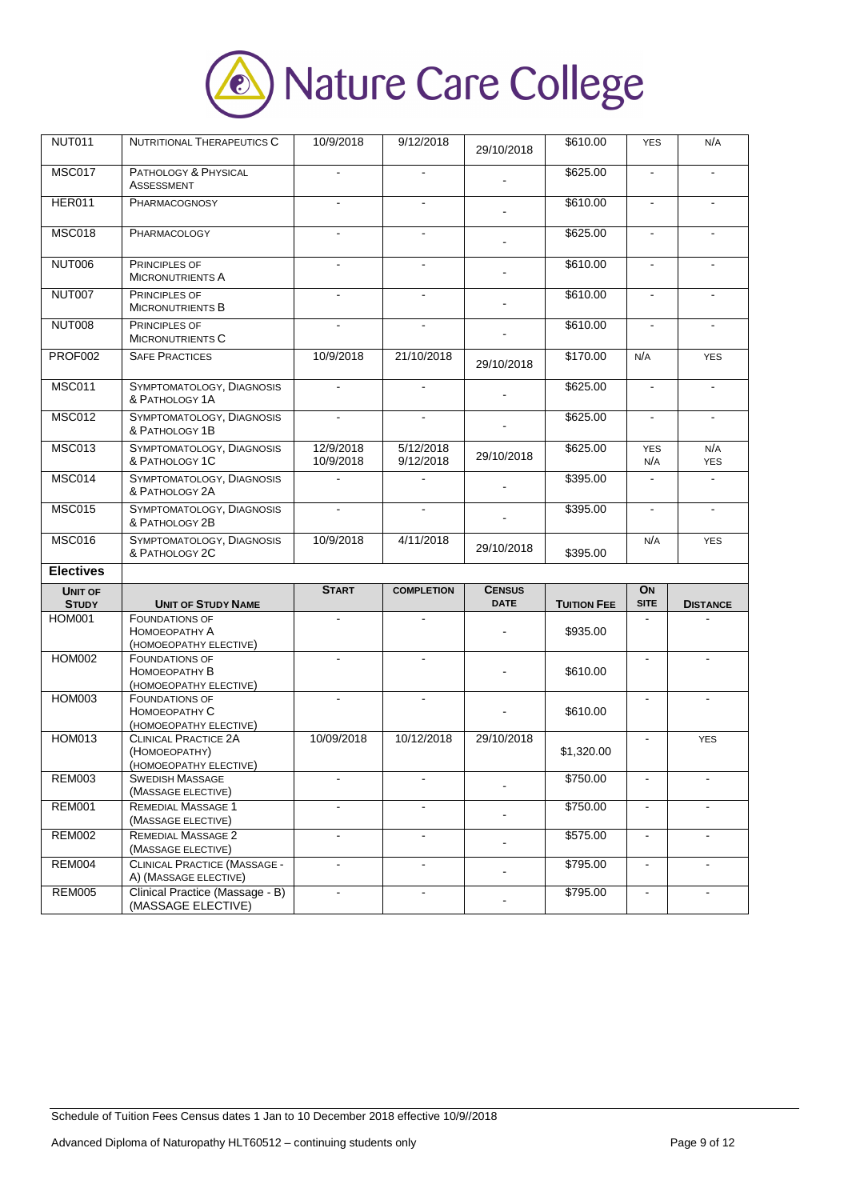

| <b>NUT011</b>                  | NUTRITIONAL THERAPEUTICS C                                                                      | 10/9/2018              | 9/12/2018              | 29/10/2018                   | \$610.00             | <b>YES</b>        | N/A               |
|--------------------------------|-------------------------------------------------------------------------------------------------|------------------------|------------------------|------------------------------|----------------------|-------------------|-------------------|
| <b>MSC017</b>                  | PATHOLOGY & PHYSICAL<br>ASSESSMENT                                                              |                        |                        |                              | \$625.00             | $\blacksquare$    | ä,                |
| <b>HER011</b>                  | PHARMACOGNOSY                                                                                   |                        | $\blacksquare$         |                              | \$610.00             | $\sim$            |                   |
| <b>MSC018</b>                  | PHARMACOLOGY                                                                                    |                        |                        |                              | \$625.00             |                   |                   |
| <b>NUT006</b>                  | PRINCIPLES OF<br><b>MICRONUTRIENTS A</b>                                                        |                        |                        |                              | \$610.00             |                   |                   |
| <b>NUT007</b>                  | <b>PRINCIPLES OF</b><br><b>MICRONUTRIENTS B</b>                                                 | $\overline{a}$         | $\blacksquare$         |                              | \$610.00             | $\blacksquare$    |                   |
| <b>NUT008</b>                  | PRINCIPLES OF<br><b>MICRONUTRIENTS C</b>                                                        | $\blacksquare$         | $\blacksquare$         |                              | \$610.00             | $\blacksquare$    | $\blacksquare$    |
| <b>PROF002</b>                 | <b>SAFE PRACTICES</b>                                                                           | 10/9/2018              | 21/10/2018             | 29/10/2018                   | \$170.00             | N/A               | <b>YES</b>        |
| <b>MSC011</b>                  | SYMPTOMATOLOGY, DIAGNOSIS<br>& PATHOLOGY 1A                                                     |                        |                        |                              | \$625.00             | $\sim$            | ä,                |
| <b>MSC012</b>                  | SYMPTOMATOLOGY, DIAGNOSIS<br>& PATHOLOGY 1B                                                     | $\blacksquare$         | $\blacksquare$         |                              | \$625.00             | $\blacksquare$    | $\blacksquare$    |
| <b>MSC013</b>                  | SYMPTOMATOLOGY, DIAGNOSIS<br>& PATHOLOGY 1C                                                     | 12/9/2018<br>10/9/2018 | 5/12/2018<br>9/12/2018 | 29/10/2018                   | \$625.00             | <b>YES</b><br>N/A | N/A<br><b>YES</b> |
| <b>MSC014</b>                  | SYMPTOMATOLOGY, DIAGNOSIS<br>& PATHOLOGY 2A                                                     | $\overline{a}$         | $\blacksquare$         |                              | \$395.00             | $\blacksquare$    | $\mathbf{r}$      |
| <b>MSC015</b>                  | SYMPTOMATOLOGY, DIAGNOSIS<br>& PATHOLOGY 2B                                                     | $\blacksquare$         | $\blacksquare$         |                              | \$395.00             | $\blacksquare$    | $\blacksquare$    |
|                                | SYMPTOMATOLOGY, DIAGNOSIS                                                                       |                        |                        |                              |                      |                   |                   |
| <b>MSC016</b>                  | & PATHOLOGY 2C                                                                                  | 10/9/2018              | 4/11/2018              | 29/10/2018                   | \$395.00             | N/A               | <b>YES</b>        |
| <b>Electives</b>               |                                                                                                 |                        |                        |                              |                      |                   |                   |
| <b>UNIT OF</b><br><b>STUDY</b> | <b>UNIT OF STUDY NAME</b>                                                                       | <b>START</b>           | <b>COMPLETION</b>      | <b>CENSUS</b><br><b>DATE</b> | <b>TUITION FEE</b>   | ON<br><b>SITE</b> | <b>DISTANCE</b>   |
| <b>HOM001</b>                  | <b>FOUNDATIONS OF</b><br>НОМОЕОРАТНУ А<br>(HOMOEOPATHY ELECTIVE)                                |                        |                        |                              | \$935.00             |                   |                   |
| <b>HOM002</b>                  | <b>FOUNDATIONS OF</b><br>НОМОЕОРАТНУ В<br>(HOMOEOPATHY ELECTIVE)                                | ÷.                     | $\blacksquare$         |                              | \$610.00             | $\blacksquare$    | $\blacksquare$    |
| <b>HOM003</b>                  | <b>FOUNDATIONS OF</b><br>НОМОЕОРАТНУ С<br>(HOMOEOPATHY ELECTIVE)                                | $\blacksquare$         | $\blacksquare$         |                              | \$610.00             | $\blacksquare$    | L.                |
| <b>HOM013</b>                  | <b>CLINICAL PRACTICE 2A</b><br>(HOMOEOPATHY)<br>(HOMOEOPATHY ELECTIVE)                          | 10/09/2018             | 10/12/2018             | 29/10/2018                   | \$1,320.00           |                   | <b>YES</b>        |
| <b>REM003</b>                  | <b>SWEDISH MASSAGE</b><br>(MASSAGE ELECTIVE)                                                    |                        |                        |                              | \$750.00             | $\blacksquare$    |                   |
| <b>REM001</b>                  | <b>REMEDIAL MASSAGE 1</b><br>(MASSAGE ELECTIVE)                                                 |                        |                        |                              | \$750.00             |                   |                   |
| <b>REM002</b>                  | REMEDIAL MASSAGE 2<br>(MASSAGE ELECTIVE)                                                        | ä,                     | $\blacksquare$         | $\blacksquare$               | \$575.00             | $\blacksquare$    |                   |
| <b>REM004</b><br><b>REM005</b> | <b>CLINICAL PRACTICE (MASSAGE -</b><br>A) (MASSAGE ELECTIVE)<br>Clinical Practice (Massage - B) | ä,                     | $\blacksquare$         | $\blacksquare$               | \$795.00<br>\$795.00 | $\blacksquare$    | $\mathbf{r}$      |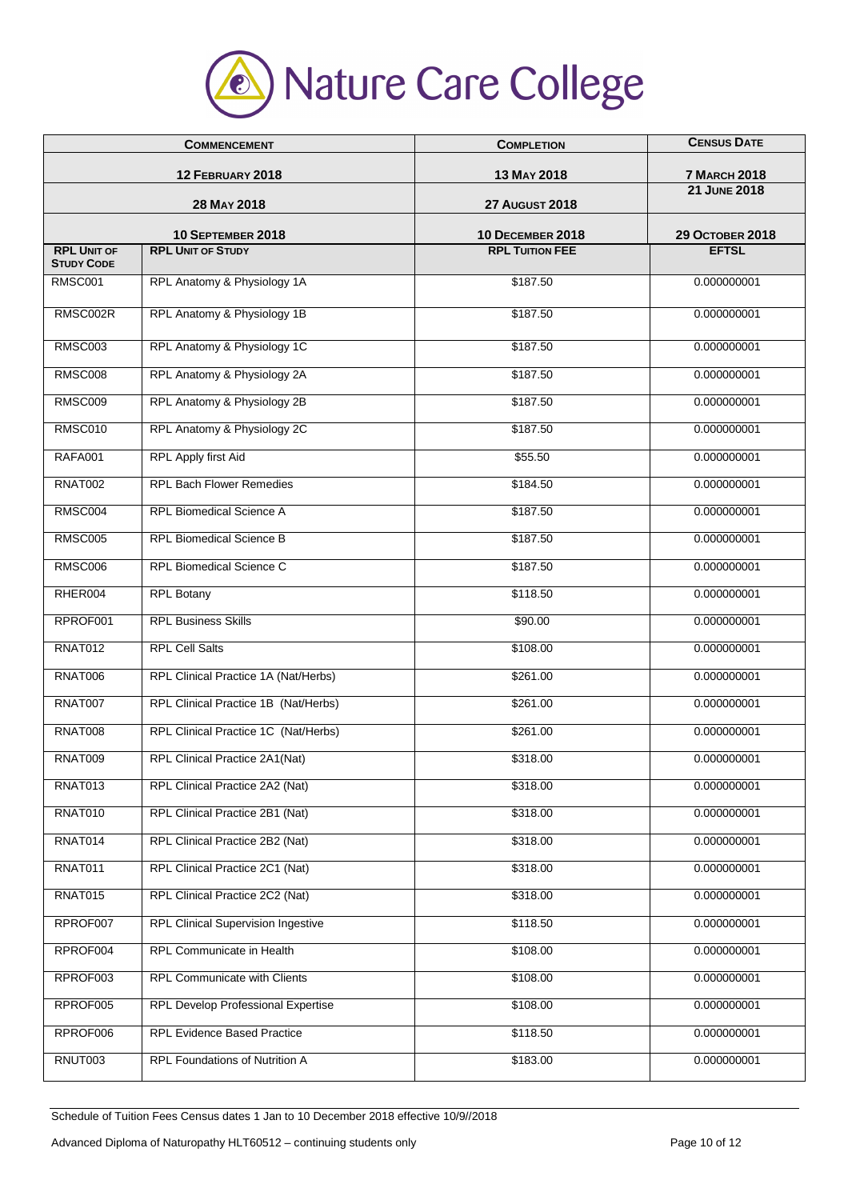

| <b>COMMENCEMENT</b><br>12 FEBRUARY 2018<br>28 MAY 2018 |                                           | <b>COMPLETION</b><br>13 MAY 2018<br><b>27 AUGUST 2018</b> | <b>CENSUS DATE</b><br><b>7 MARCH 2018</b><br><b>21 JUNE 2018</b> |                                         |                          |                         |                        |
|--------------------------------------------------------|-------------------------------------------|-----------------------------------------------------------|------------------------------------------------------------------|-----------------------------------------|--------------------------|-------------------------|------------------------|
|                                                        |                                           |                                                           |                                                                  |                                         | 10 SEPTEMBER 2018        | <b>10 DECEMBER 2018</b> | <b>29 OCTOBER 2018</b> |
|                                                        |                                           |                                                           |                                                                  | <b>RPL UNIT OF</b><br><b>STUDY CODE</b> | <b>RPL UNIT OF STUDY</b> | <b>RPL TUITION FEE</b>  | <b>EFTSL</b>           |
| RMSC001                                                | RPL Anatomy & Physiology 1A               | \$187.50                                                  | 0.000000001                                                      |                                         |                          |                         |                        |
| RMSC002R                                               | RPL Anatomy & Physiology 1B               | \$187.50                                                  | 0.000000001                                                      |                                         |                          |                         |                        |
| <b>RMSC003</b>                                         | RPL Anatomy & Physiology 1C               | \$187.50                                                  | 0.000000001                                                      |                                         |                          |                         |                        |
| <b>RMSC008</b>                                         | RPL Anatomy & Physiology 2A               | \$187.50                                                  | 0.000000001                                                      |                                         |                          |                         |                        |
| <b>RMSC009</b>                                         | RPL Anatomy & Physiology 2B               | \$187.50                                                  | 0.000000001                                                      |                                         |                          |                         |                        |
| RMSC010                                                | RPL Anatomy & Physiology 2C               | \$187.50                                                  | 0.000000001                                                      |                                         |                          |                         |                        |
| <b>RAFA001</b>                                         | <b>RPL Apply first Aid</b>                | \$55.50                                                   | 0.000000001                                                      |                                         |                          |                         |                        |
| <b>RNAT002</b>                                         | <b>RPL Bach Flower Remedies</b>           | \$184.50                                                  | 0.000000001                                                      |                                         |                          |                         |                        |
| RMSC004                                                | <b>RPL Biomedical Science A</b>           | \$187.50                                                  | 0.000000001                                                      |                                         |                          |                         |                        |
| <b>RMSC005</b>                                         | <b>RPL Biomedical Science B</b>           | \$187.50                                                  | 0.000000001                                                      |                                         |                          |                         |                        |
| <b>RMSC006</b>                                         | RPL Biomedical Science C                  | \$187.50                                                  | 0.000000001                                                      |                                         |                          |                         |                        |
| RHER004                                                | <b>RPL Botany</b>                         | \$118.50                                                  | 0.000000001                                                      |                                         |                          |                         |                        |
| RPROF001                                               | <b>RPL Business Skills</b>                | \$90.00                                                   | 0.000000001                                                      |                                         |                          |                         |                        |
| RNAT012                                                | <b>RPL Cell Salts</b>                     | \$108.00                                                  | 0.000000001                                                      |                                         |                          |                         |                        |
| <b>RNAT006</b>                                         | RPL Clinical Practice 1A (Nat/Herbs)      | \$261.00                                                  | 0.000000001                                                      |                                         |                          |                         |                        |
| RNAT007                                                | RPL Clinical Practice 1B (Nat/Herbs)      | \$261.00                                                  | 0.000000001                                                      |                                         |                          |                         |                        |
| RNAT008                                                | RPL Clinical Practice 1C (Nat/Herbs)      | \$261.00                                                  | 0.000000001                                                      |                                         |                          |                         |                        |
| <b>RNAT009</b>                                         | RPL Clinical Practice 2A1(Nat)            | \$318.00                                                  | 0.000000001                                                      |                                         |                          |                         |                        |
| <b>RNAT013</b>                                         | RPL Clinical Practice 2A2 (Nat)           | \$318.00                                                  | 0.000000001                                                      |                                         |                          |                         |                        |
| <b>RNAT010</b>                                         | RPL Clinical Practice 2B1 (Nat)           | \$318.00                                                  | 0.000000001                                                      |                                         |                          |                         |                        |
| RNAT014                                                | RPL Clinical Practice 2B2 (Nat)           | \$318.00                                                  | 0.000000001                                                      |                                         |                          |                         |                        |
| RNAT011                                                | RPL Clinical Practice 2C1 (Nat)           | \$318.00                                                  | 0.000000001                                                      |                                         |                          |                         |                        |
| <b>RNAT015</b>                                         | RPL Clinical Practice 2C2 (Nat)           | \$318.00                                                  | 0.000000001                                                      |                                         |                          |                         |                        |
| RPROF007                                               | <b>RPL Clinical Supervision Ingestive</b> | \$118.50                                                  | 0.000000001                                                      |                                         |                          |                         |                        |
| RPROF004                                               | RPL Communicate in Health                 | \$108.00                                                  | 0.000000001                                                      |                                         |                          |                         |                        |
| RPROF003                                               | RPL Communicate with Clients              | \$108.00                                                  | 0.000000001                                                      |                                         |                          |                         |                        |
| RPROF005                                               | RPL Develop Professional Expertise        | \$108.00                                                  | 0.000000001                                                      |                                         |                          |                         |                        |
| RPROF006                                               | RPL Evidence Based Practice               | \$118.50                                                  | 0.000000001                                                      |                                         |                          |                         |                        |
| RNUT003                                                | RPL Foundations of Nutrition A            | \$183.00                                                  | 0.000000001                                                      |                                         |                          |                         |                        |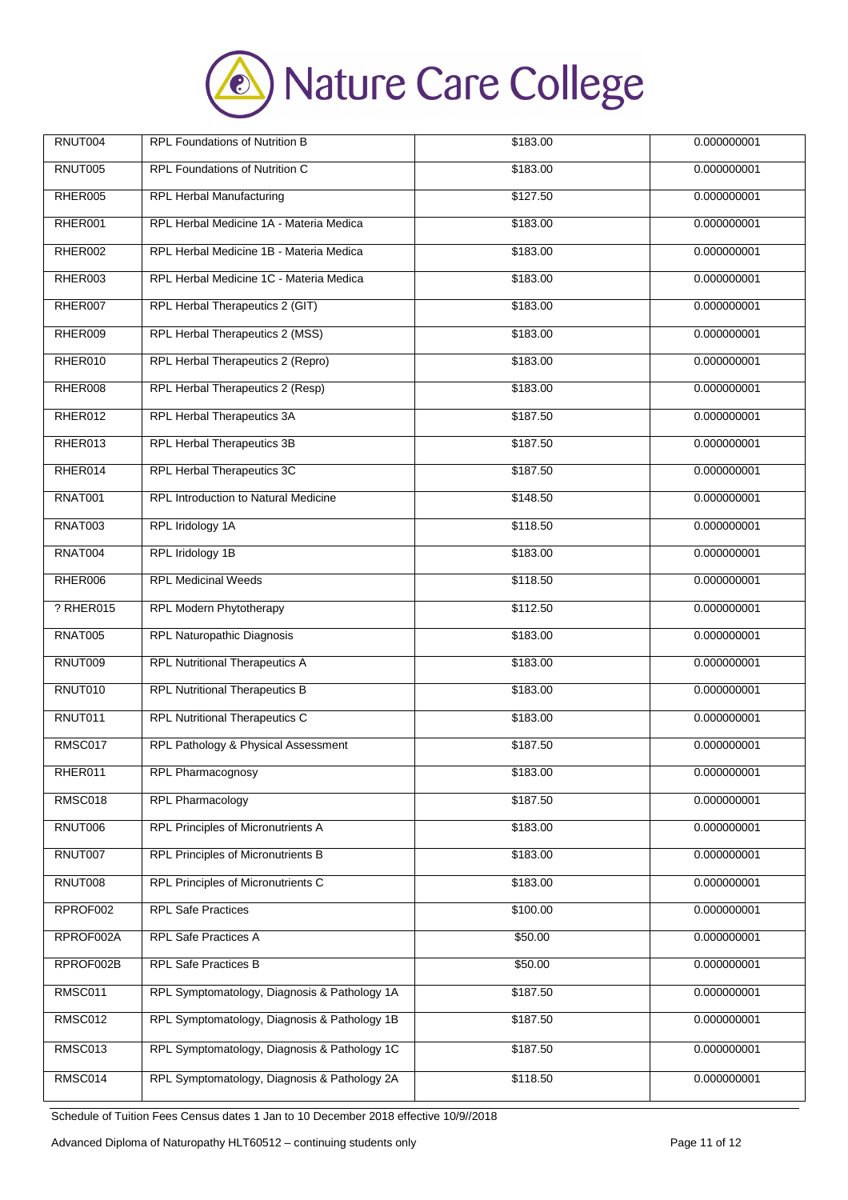

| RNUT004        | <b>RPL Foundations of Nutrition B</b>        | \$183.00 | 0.000000001 |
|----------------|----------------------------------------------|----------|-------------|
| RNUT005        | RPL Foundations of Nutrition C               | \$183.00 | 0.000000001 |
| RHER005        | <b>RPL Herbal Manufacturing</b>              | \$127.50 | 0.000000001 |
| RHER001        | RPL Herbal Medicine 1A - Materia Medica      | \$183.00 | 0.000000001 |
| RHER002        | RPL Herbal Medicine 1B - Materia Medica      | \$183.00 | 0.000000001 |
| RHER003        | RPL Herbal Medicine 1C - Materia Medica      | \$183.00 | 0.000000001 |
| RHER007        | RPL Herbal Therapeutics 2 (GIT)              | \$183.00 | 0.000000001 |
| RHER009        | RPL Herbal Therapeutics 2 (MSS)              | \$183.00 | 0.000000001 |
| RHER010        | RPL Herbal Therapeutics 2 (Repro)            | \$183.00 | 0.000000001 |
| RHER008        | RPL Herbal Therapeutics 2 (Resp)             | \$183.00 | 0.000000001 |
| RHER012        | RPL Herbal Therapeutics 3A                   | \$187.50 | 0.000000001 |
| RHER013        | RPL Herbal Therapeutics 3B                   | \$187.50 | 0.000000001 |
| RHER014        | RPL Herbal Therapeutics 3C                   | \$187.50 | 0.000000001 |
| <b>RNAT001</b> | RPL Introduction to Natural Medicine         | \$148.50 | 0.000000001 |
| <b>RNAT003</b> | RPL Iridology 1A                             | \$118.50 | 0.000000001 |
| RNAT004        | RPL Iridology 1B                             | \$183.00 | 0.000000001 |
| RHER006        | <b>RPL Medicinal Weeds</b>                   | \$118.50 | 0.000000001 |
| ? RHER015      | RPL Modern Phytotherapy                      | \$112.50 | 0.000000001 |
| <b>RNAT005</b> | RPL Naturopathic Diagnosis                   | \$183.00 | 0.000000001 |
| RNUT009        | <b>RPL Nutritional Therapeutics A</b>        | \$183.00 | 0.000000001 |
| RNUT010        | <b>RPL Nutritional Therapeutics B</b>        | \$183.00 | 0.000000001 |
| RNUT011        | <b>RPL Nutritional Therapeutics C</b>        | \$183.00 | 0.000000001 |
| RMSC017        | RPL Pathology & Physical Assessment          | \$187.50 | 0.000000001 |
| RHER011        | RPL Pharmacognosy                            | \$183.00 | 0.000000001 |
| RMSC018        | <b>RPL Pharmacology</b>                      | \$187.50 | 0.000000001 |
| RNUT006        | RPL Principles of Micronutrients A           | \$183.00 | 0.000000001 |
| RNUT007        | <b>RPL Principles of Micronutrients B</b>    | \$183.00 | 0.000000001 |
| RNUT008        | RPL Principles of Micronutrients C           | \$183.00 | 0.000000001 |
| RPROF002       | <b>RPL Safe Practices</b>                    | \$100.00 | 0.000000001 |
| RPROF002A      | RPL Safe Practices A                         | \$50.00  | 0.000000001 |
| RPROF002B      | <b>RPL Safe Practices B</b>                  | \$50.00  | 0.000000001 |
| RMSC011        | RPL Symptomatology, Diagnosis & Pathology 1A | \$187.50 | 0.000000001 |
| RMSC012        | RPL Symptomatology, Diagnosis & Pathology 1B | \$187.50 | 0.000000001 |
| RMSC013        | RPL Symptomatology, Diagnosis & Pathology 1C | \$187.50 | 0.000000001 |
| RMSC014        | RPL Symptomatology, Diagnosis & Pathology 2A | \$118.50 | 0.000000001 |